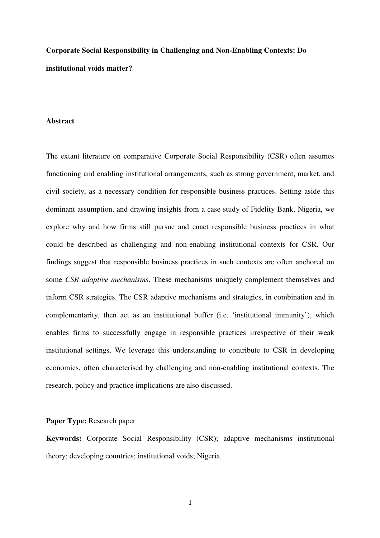# **Corporate Social Responsibility in Challenging and Non-Enabling Contexts: Do institutional voids matter?**

#### **Abstract**

The extant literature on comparative Corporate Social Responsibility (CSR) often assumes functioning and enabling institutional arrangements, such as strong government, market, and civil society, as a necessary condition for responsible business practices. Setting aside this dominant assumption, and drawing insights from a case study of Fidelity Bank, Nigeria, we explore why and how firms still pursue and enact responsible business practices in what could be described as challenging and non-enabling institutional contexts for CSR. Our findings suggest that responsible business practices in such contexts are often anchored on some *CSR adaptive mechanisms*. These mechanisms uniquely complement themselves and inform CSR strategies. The CSR adaptive mechanisms and strategies, in combination and in complementarity, then act as an institutional buffer (i.e. 'institutional immunity'), which enables firms to successfully engage in responsible practices irrespective of their weak institutional settings. We leverage this understanding to contribute to CSR in developing economies, often characterised by challenging and non-enabling institutional contexts. The research, policy and practice implications are also discussed.

#### **Paper Type:** Research paper

**Keywords:** Corporate Social Responsibility (CSR); adaptive mechanisms institutional theory; developing countries; institutional voids; Nigeria.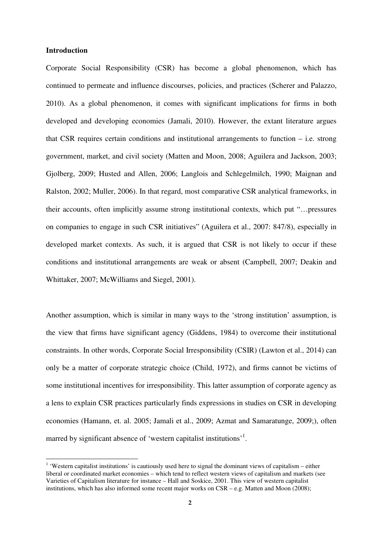### **Introduction**

Corporate Social Responsibility (CSR) has become a global phenomenon, which has continued to permeate and influence discourses, policies, and practices (Scherer and Palazzo, 2010). As a global phenomenon, it comes with significant implications for firms in both developed and developing economies (Jamali, 2010). However, the extant literature argues that CSR requires certain conditions and institutional arrangements to function – i.e. strong government, market, and civil society (Matten and Moon, 2008; Aguilera and Jackson, 2003; Gjolberg, 2009; Husted and Allen, 2006; Langlois and Schlegelmilch, 1990; Maignan and Ralston, 2002; Muller, 2006). In that regard, most comparative CSR analytical frameworks, in their accounts, often implicitly assume strong institutional contexts, which put "…pressures on companies to engage in such CSR initiatives" (Aguilera et al., 2007: 847/8), especially in developed market contexts. As such, it is argued that CSR is not likely to occur if these conditions and institutional arrangements are weak or absent (Campbell, 2007; Deakin and Whittaker, 2007; McWilliams and Siegel, 2001).

Another assumption, which is similar in many ways to the 'strong institution' assumption, is the view that firms have significant agency (Giddens, 1984) to overcome their institutional constraints. In other words, Corporate Social Irresponsibility (CSIR) (Lawton et al., 2014) can only be a matter of corporate strategic choice (Child, 1972), and firms cannot be victims of some institutional incentives for irresponsibility. This latter assumption of corporate agency as a lens to explain CSR practices particularly finds expressions in studies on CSR in developing economies (Hamann, et. al. 2005; Jamali et al., 2009; Azmat and Samaratunge, 2009;), often marred by significant absence of 'western capitalist institutions'<sup>1</sup>.

 1 'Western capitalist institutions' is cautiously used here to signal the dominant views of capitalism – either liberal or coordinated market economies – which tend to reflect western views of capitalism and markets (see Varieties of Capitalism literature for instance – Hall and Soskice, 2001. This view of western capitalist institutions, which has also informed some recent major works on CSR – e.g. Matten and Moon (2008);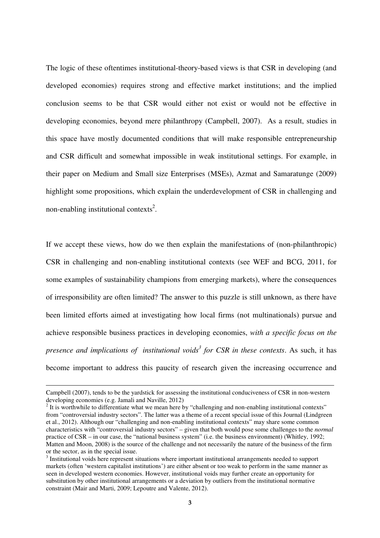The logic of these oftentimes institutional-theory-based views is that CSR in developing (and developed economies) requires strong and effective market institutions; and the implied conclusion seems to be that CSR would either not exist or would not be effective in developing economies, beyond mere philanthropy (Campbell, 2007). As a result, studies in this space have mostly documented conditions that will make responsible entrepreneurship and CSR difficult and somewhat impossible in weak institutional settings. For example, in their paper on Medium and Small size Enterprises (MSEs), Azmat and Samaratunge (2009) highlight some propositions, which explain the underdevelopment of CSR in challenging and non-enabling institutional contexts<sup>2</sup>.

If we accept these views, how do we then explain the manifestations of (non-philanthropic) CSR in challenging and non-enabling institutional contexts (see WEF and BCG, 2011, for some examples of sustainability champions from emerging markets), where the consequences of irresponsibility are often limited? The answer to this puzzle is still unknown, as there have been limited efforts aimed at investigating how local firms (not multinationals) pursue and achieve responsible business practices in developing economies, *with a specific focus on the presence and implications of institutional voids<sup>3</sup> for CSR in these contexts*. As such, it has become important to address this paucity of research given the increasing occurrence and

 $\overline{a}$ 

Campbell (2007), tends to be the yardstick for assessing the institutional conduciveness of CSR in non-western developing economies (e.g. Jamali and Naville, 2012)

 $2<sup>2</sup>$  It is worthwhile to differentiate what we mean here by "challenging and non-enabling institutional contexts" from "controversial industry sectors". The latter was a theme of a recent special issue of this Journal (Lindgreen et al., 2012). Although our "challenging and non-enabling institutional contexts" may share some common characteristics with "controversial industry sectors" – given that both would pose some challenges to the *normal* practice of CSR – in our case, the "national business system" (i.e. the business environment) (Whitley, 1992; Matten and Moon, 2008) is the source of the challenge and not necessarily the nature of the business of the firm or the sector, as in the special issue.

<sup>&</sup>lt;sup>3</sup> Institutional voids here represent situations where important institutional arrangements needed to support markets (often 'western capitalist institutions') are either absent or too weak to perform in the same manner as seen in developed western economies. However, institutional voids may further create an opportunity for substitution by other institutional arrangements or a deviation by outliers from the institutional normative constraint (Mair and Marti, 2009; Lepoutre and Valente, 2012).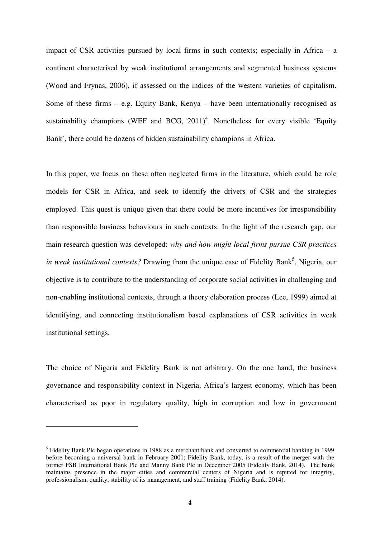impact of CSR activities pursued by local firms in such contexts; especially in Africa – a continent characterised by weak institutional arrangements and segmented business systems (Wood and Frynas, 2006), if assessed on the indices of the western varieties of capitalism. Some of these firms – e.g. Equity Bank, Kenya – have been internationally recognised as sustainability champions (WEF and BCG,  $2011$ <sup>4</sup>. Nonetheless for every visible 'Equity Bank', there could be dozens of hidden sustainability champions in Africa.

In this paper, we focus on these often neglected firms in the literature, which could be role models for CSR in Africa, and seek to identify the drivers of CSR and the strategies employed. This quest is unique given that there could be more incentives for irresponsibility than responsible business behaviours in such contexts. In the light of the research gap, our main research question was developed: *why and how might local firms pursue CSR practices*  in weak institutional contexts? Drawing from the unique case of Fidelity Bank<sup>5</sup>, Nigeria, our objective is to contribute to the understanding of corporate social activities in challenging and non-enabling institutional contexts, through a theory elaboration process (Lee, 1999) aimed at identifying, and connecting institutionalism based explanations of CSR activities in weak institutional settings.

The choice of Nigeria and Fidelity Bank is not arbitrary. On the one hand, the business governance and responsibility context in Nigeria, Africa's largest economy, which has been characterised as poor in regulatory quality, high in corruption and low in government

 $\overline{a}$ 

<sup>&</sup>lt;sup>5</sup> Fidelity Bank Plc began operations in 1988 as a merchant bank and converted to commercial banking in 1999 before becoming a universal bank in February 2001; Fidelity Bank, today, is a result of the merger with the former FSB International Bank Plc and Manny Bank Plc in December 2005 (Fidelity Bank, 2014). The bank maintains presence in the major cities and commercial centers of Nigeria and is reputed for integrity, professionalism, quality, stability of its management, and staff training (Fidelity Bank, 2014).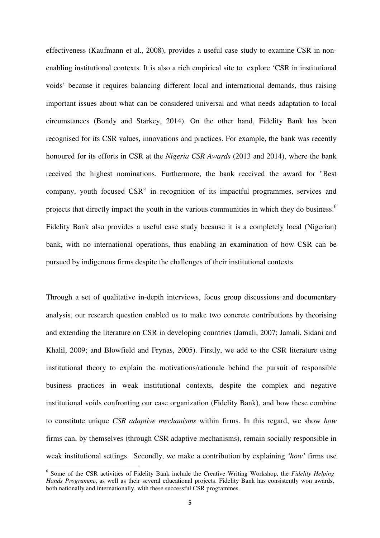effectiveness (Kaufmann et al., 2008), provides a useful case study to examine CSR in nonenabling institutional contexts. It is also a rich empirical site to explore 'CSR in institutional voids' because it requires balancing different local and international demands, thus raising important issues about what can be considered universal and what needs adaptation to local circumstances (Bondy and Starkey, 2014). On the other hand, Fidelity Bank has been recognised for its CSR values, innovations and practices. For example, the bank was recently honoured for its efforts in CSR at the *Nigeria CSR Awards* (2013 and 2014), where the bank received the highest nominations. Furthermore, the bank received the award for "Best company, youth focused CSR" in recognition of its impactful programmes, services and projects that directly impact the youth in the various communities in which they do business.<sup>6</sup> Fidelity Bank also provides a useful case study because it is a completely local (Nigerian) bank, with no international operations, thus enabling an examination of how CSR can be pursued by indigenous firms despite the challenges of their institutional contexts.

Through a set of qualitative in-depth interviews, focus group discussions and documentary analysis, our research question enabled us to make two concrete contributions by theorising and extending the literature on CSR in developing countries (Jamali, 2007; Jamali, Sidani and Khalil, 2009; and Blowfield and Frynas, 2005). Firstly, we add to the CSR literature using institutional theory to explain the motivations/rationale behind the pursuit of responsible business practices in weak institutional contexts, despite the complex and negative institutional voids confronting our case organization (Fidelity Bank), and how these combine to constitute unique *CSR adaptive mechanisms* within firms. In this regard, we show *how* firms can, by themselves (through CSR adaptive mechanisms), remain socially responsible in weak institutional settings. Secondly, we make a contribution by explaining *'how'* firms use

 6 Some of the CSR activities of Fidelity Bank include the Creative Writing Workshop, the *Fidelity Helping Hands Programme*, as well as their several educational projects. Fidelity Bank has consistently won awards, both nationally and internationally, with these successful CSR programmes.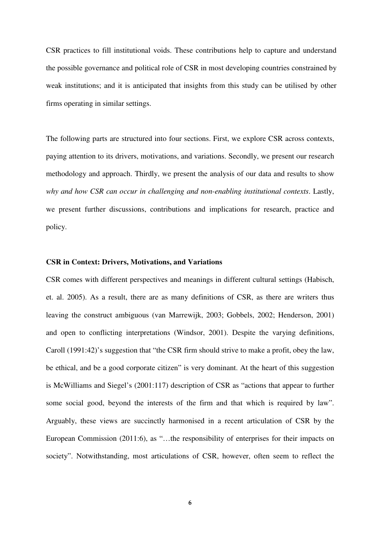CSR practices to fill institutional voids. These contributions help to capture and understand the possible governance and political role of CSR in most developing countries constrained by weak institutions; and it is anticipated that insights from this study can be utilised by other firms operating in similar settings.

The following parts are structured into four sections. First, we explore CSR across contexts, paying attention to its drivers, motivations, and variations. Secondly, we present our research methodology and approach. Thirdly, we present the analysis of our data and results to show *why and how CSR can occur in challenging and non-enabling institutional contexts*. Lastly, we present further discussions, contributions and implications for research, practice and policy.

#### **CSR in Context: Drivers, Motivations, and Variations**

CSR comes with different perspectives and meanings in different cultural settings (Habisch, et. al. 2005). As a result, there are as many definitions of CSR, as there are writers thus leaving the construct ambiguous (van Marrewijk, 2003; Gobbels, 2002; Henderson, 2001) and open to conflicting interpretations (Windsor, 2001). Despite the varying definitions, Caroll (1991:42)'s suggestion that "the CSR firm should strive to make a profit, obey the law, be ethical, and be a good corporate citizen" is very dominant. At the heart of this suggestion is McWilliams and Siegel's (2001:117) description of CSR as "actions that appear to further some social good, beyond the interests of the firm and that which is required by law". Arguably, these views are succinctly harmonised in a recent articulation of CSR by the European Commission (2011:6), as "…the responsibility of enterprises for their impacts on society". Notwithstanding, most articulations of CSR, however, often seem to reflect the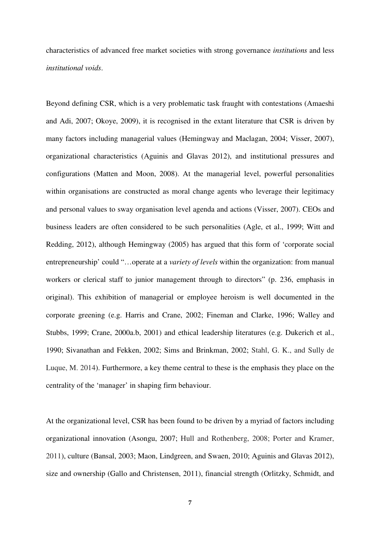characteristics of advanced free market societies with strong governance *institutions* and less *institutional voids*.

Beyond defining CSR, which is a very problematic task fraught with contestations (Amaeshi and Adi, 2007; Okoye, 2009), it is recognised in the extant literature that CSR is driven by many factors including managerial values (Hemingway and Maclagan, 2004; Visser, 2007), organizational characteristics (Aguinis and Glavas 2012), and institutional pressures and configurations (Matten and Moon, 2008). At the managerial level, powerful personalities within organisations are constructed as moral change agents who leverage their legitimacy and personal values to sway organisation level agenda and actions (Visser, 2007). CEOs and business leaders are often considered to be such personalities (Agle, et al., 1999; Witt and Redding, 2012), although Hemingway (2005) has argued that this form of 'corporate social entrepreneurship' could "…operate at a *variety of levels* within the organization: from manual workers or clerical staff to junior management through to directors" (p. 236, emphasis in original). This exhibition of managerial or employee heroism is well documented in the corporate greening (e.g. Harris and Crane, 2002; Fineman and Clarke, 1996; Walley and Stubbs, 1999; Crane, 2000a.b, 2001) and ethical leadership literatures (e.g. Dukerich et al., 1990; Sivanathan and Fekken, 2002; Sims and Brinkman, 2002; Stahl, G. K., and Sully de Luque, M. 2014). Furthermore, a key theme central to these is the emphasis they place on the centrality of the 'manager' in shaping firm behaviour.

At the organizational level, CSR has been found to be driven by a myriad of factors including organizational innovation (Asongu, 2007; Hull and Rothenberg, 2008; Porter and Kramer, 2011), culture (Bansal, 2003; Maon, Lindgreen, and Swaen, 2010; Aguinis and Glavas 2012), size and ownership (Gallo and Christensen, 2011), financial strength (Orlitzky, Schmidt, and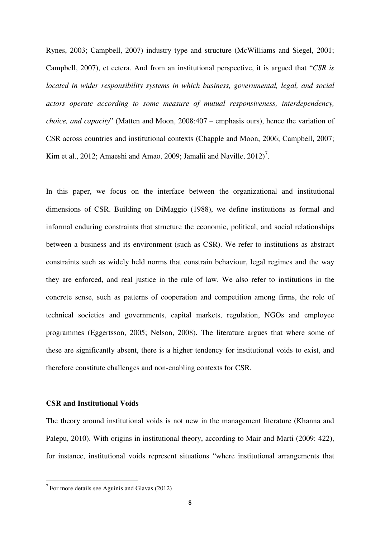Rynes, 2003; Campbell, 2007) industry type and structure (McWilliams and Siegel, 2001; Campbell, 2007), et cetera. And from an institutional perspective, it is argued that "*CSR is located in wider responsibility systems in which business, governmental, legal, and social actors operate according to some measure of mutual responsiveness, interdependency, choice, and capacity*" (Matten and Moon, 2008:407 – emphasis ours), hence the variation of CSR across countries and institutional contexts (Chapple and Moon, 2006; Campbell, 2007; Kim et al., 2012; Amaeshi and Amao, 2009; Jamalii and Naville,  $2012$ <sup>7</sup>.

In this paper, we focus on the interface between the organizational and institutional dimensions of CSR. Building on DiMaggio (1988), we define institutions as formal and informal enduring constraints that structure the economic, political, and social relationships between a business and its environment (such as CSR). We refer to institutions as abstract constraints such as widely held norms that constrain behaviour, legal regimes and the way they are enforced, and real justice in the rule of law. We also refer to institutions in the concrete sense, such as patterns of cooperation and competition among firms, the role of technical societies and governments, capital markets, regulation, NGOs and employee programmes (Eggertsson, 2005; Nelson, 2008). The literature argues that where some of these are significantly absent, there is a higher tendency for institutional voids to exist, and therefore constitute challenges and non-enabling contexts for CSR.

## **CSR and Institutional Voids**

The theory around institutional voids is not new in the management literature (Khanna and Palepu, 2010). With origins in institutional theory, according to Mair and Marti (2009: 422), for instance, institutional voids represent situations "where institutional arrangements that

 7 For more details see Aguinis and Glavas (2012)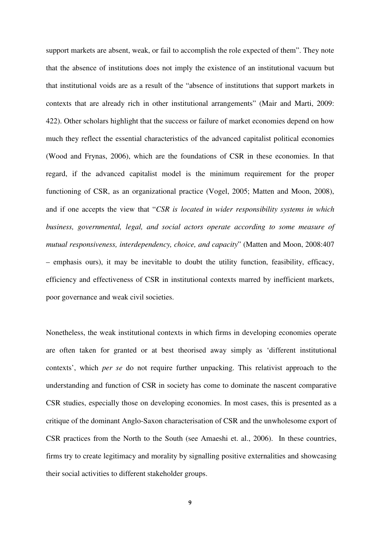support markets are absent, weak, or fail to accomplish the role expected of them". They note that the absence of institutions does not imply the existence of an institutional vacuum but that institutional voids are as a result of the "absence of institutions that support markets in contexts that are already rich in other institutional arrangements" (Mair and Marti, 2009: 422). Other scholars highlight that the success or failure of market economies depend on how much they reflect the essential characteristics of the advanced capitalist political economies (Wood and Frynas, 2006), which are the foundations of CSR in these economies. In that regard, if the advanced capitalist model is the minimum requirement for the proper functioning of CSR, as an organizational practice (Vogel, 2005; Matten and Moon, 2008), and if one accepts the view that "*CSR is located in wider responsibility systems in which business, governmental, legal, and social actors operate according to some measure of mutual responsiveness, interdependency, choice, and capacity*" (Matten and Moon, 2008:407 – emphasis ours), it may be inevitable to doubt the utility function, feasibility, efficacy, efficiency and effectiveness of CSR in institutional contexts marred by inefficient markets, poor governance and weak civil societies.

Nonetheless, the weak institutional contexts in which firms in developing economies operate are often taken for granted or at best theorised away simply as 'different institutional contexts', which *per se* do not require further unpacking. This relativist approach to the understanding and function of CSR in society has come to dominate the nascent comparative CSR studies, especially those on developing economies. In most cases, this is presented as a critique of the dominant Anglo-Saxon characterisation of CSR and the unwholesome export of CSR practices from the North to the South (see Amaeshi et. al., 2006). In these countries, firms try to create legitimacy and morality by signalling positive externalities and showcasing their social activities to different stakeholder groups.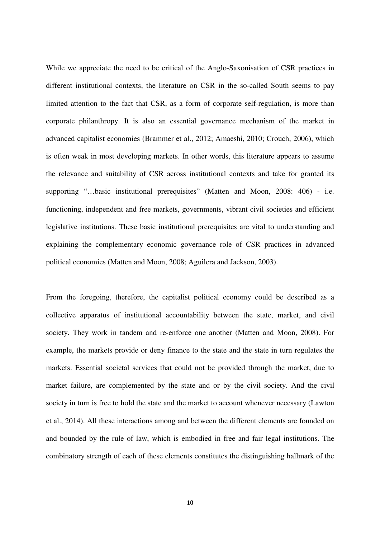While we appreciate the need to be critical of the Anglo-Saxonisation of CSR practices in different institutional contexts, the literature on CSR in the so-called South seems to pay limited attention to the fact that CSR, as a form of corporate self-regulation, is more than corporate philanthropy. It is also an essential governance mechanism of the market in advanced capitalist economies (Brammer et al., 2012; Amaeshi, 2010; Crouch, 2006), which is often weak in most developing markets. In other words, this literature appears to assume the relevance and suitability of CSR across institutional contexts and take for granted its supporting "…basic institutional prerequisites" (Matten and Moon, 2008: 406) - i.e. functioning, independent and free markets, governments, vibrant civil societies and efficient legislative institutions. These basic institutional prerequisites are vital to understanding and explaining the complementary economic governance role of CSR practices in advanced political economies (Matten and Moon, 2008; Aguilera and Jackson, 2003).

From the foregoing, therefore, the capitalist political economy could be described as a collective apparatus of institutional accountability between the state, market, and civil society. They work in tandem and re-enforce one another (Matten and Moon, 2008). For example, the markets provide or deny finance to the state and the state in turn regulates the markets. Essential societal services that could not be provided through the market, due to market failure, are complemented by the state and or by the civil society. And the civil society in turn is free to hold the state and the market to account whenever necessary (Lawton et al., 2014). All these interactions among and between the different elements are founded on and bounded by the rule of law, which is embodied in free and fair legal institutions. The combinatory strength of each of these elements constitutes the distinguishing hallmark of the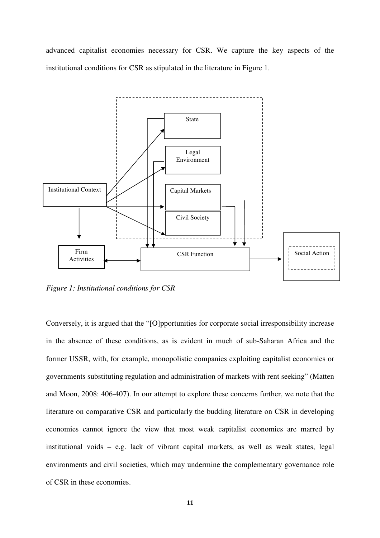advanced capitalist economies necessary for CSR. We capture the key aspects of the institutional conditions for CSR as stipulated in the literature in Figure 1.



*Figure 1: Institutional conditions for CSR*

Conversely, it is argued that the "[O]pportunities for corporate social irresponsibility increase in the absence of these conditions, as is evident in much of sub-Saharan Africa and the former USSR, with, for example, monopolistic companies exploiting capitalist economies or governments substituting regulation and administration of markets with rent seeking" (Matten and Moon, 2008: 406-407). In our attempt to explore these concerns further, we note that the literature on comparative CSR and particularly the budding literature on CSR in developing economies cannot ignore the view that most weak capitalist economies are marred by institutional voids – e.g. lack of vibrant capital markets, as well as weak states, legal environments and civil societies, which may undermine the complementary governance role of CSR in these economies.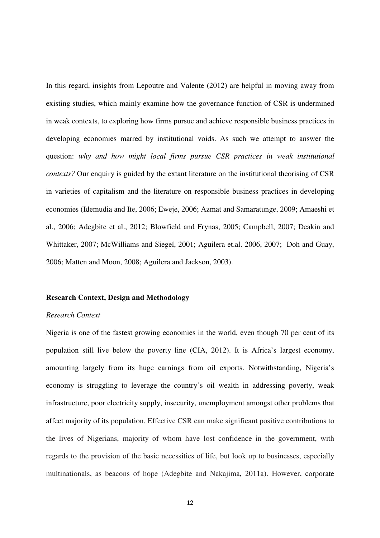In this regard, insights from Lepoutre and Valente (2012) are helpful in moving away from existing studies, which mainly examine how the governance function of CSR is undermined in weak contexts, to exploring how firms pursue and achieve responsible business practices in developing economies marred by institutional voids. As such we attempt to answer the question: *why and how might local firms pursue CSR practices in weak institutional contexts?* Our enquiry is guided by the extant literature on the institutional theorising of CSR in varieties of capitalism and the literature on responsible business practices in developing economies (Idemudia and Ite, 2006; Eweje, 2006; Azmat and Samaratunge, 2009; Amaeshi et al., 2006; Adegbite et al., 2012; Blowfield and Frynas, 2005; Campbell, 2007; Deakin and Whittaker, 2007; McWilliams and Siegel, 2001; Aguilera et.al. 2006, 2007; Doh and Guay, 2006; Matten and Moon, 2008; Aguilera and Jackson, 2003).

#### **Research Context, Design and Methodology**

#### *Research Context*

Nigeria is one of the fastest growing economies in the world, even though 70 per cent of its population still live below the poverty line (CIA, 2012). It is Africa's largest economy, amounting largely from its huge earnings from oil exports. Notwithstanding, Nigeria's economy is struggling to leverage the country's oil wealth in addressing poverty, weak infrastructure, poor electricity supply, insecurity, unemployment amongst other problems that affect majority of its population. Effective CSR can make significant positive contributions to the lives of Nigerians, majority of whom have lost confidence in the government, with regards to the provision of the basic necessities of life, but look up to businesses, especially multinationals, as beacons of hope (Adegbite and Nakajima, 2011a). However, corporate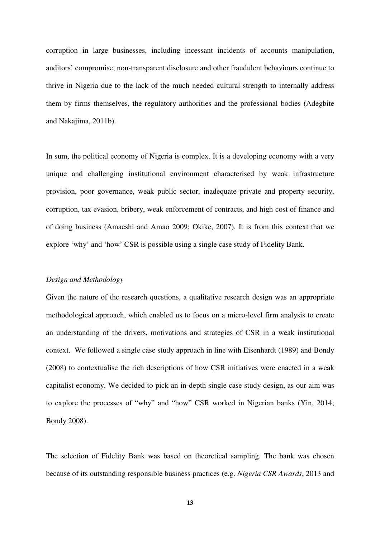corruption in large businesses, including incessant incidents of accounts manipulation, auditors' compromise, non-transparent disclosure and other fraudulent behaviours continue to thrive in Nigeria due to the lack of the much needed cultural strength to internally address them by firms themselves, the regulatory authorities and the professional bodies (Adegbite and Nakajima, 2011b).

In sum, the political economy of Nigeria is complex. It is a developing economy with a very unique and challenging institutional environment characterised by weak infrastructure provision, poor governance, weak public sector, inadequate private and property security, corruption, tax evasion, bribery, weak enforcement of contracts, and high cost of finance and of doing business (Amaeshi and Amao 2009; Okike, 2007). It is from this context that we explore 'why' and 'how' CSR is possible using a single case study of Fidelity Bank.

#### *Design and Methodology*

Given the nature of the research questions, a qualitative research design was an appropriate methodological approach, which enabled us to focus on a micro-level firm analysis to create an understanding of the drivers, motivations and strategies of CSR in a weak institutional context. We followed a single case study approach in line with Eisenhardt (1989) and Bondy (2008) to contextualise the rich descriptions of how CSR initiatives were enacted in a weak capitalist economy. We decided to pick an in-depth single case study design, as our aim was to explore the processes of "why" and "how" CSR worked in Nigerian banks (Yin, 2014; Bondy 2008).

The selection of Fidelity Bank was based on theoretical sampling. The bank was chosen because of its outstanding responsible business practices (e.g. *Nigeria CSR Awards*, 2013 and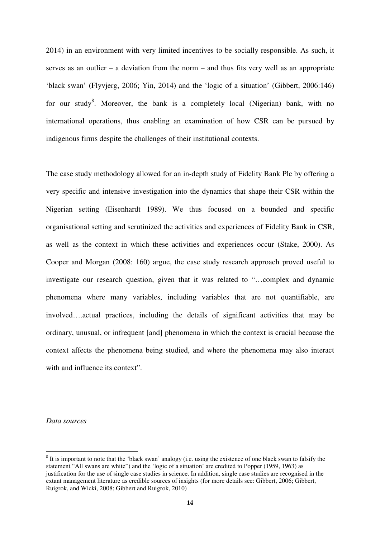2014) in an environment with very limited incentives to be socially responsible. As such, it serves as an outlier – a deviation from the norm – and thus fits very well as an appropriate 'black swan' (Flyvjerg, 2006; Yin, 2014) and the 'logic of a situation' (Gibbert, 2006:146) for our study<sup>8</sup>. Moreover, the bank is a completely local (Nigerian) bank, with no international operations, thus enabling an examination of how CSR can be pursued by indigenous firms despite the challenges of their institutional contexts.

The case study methodology allowed for an in-depth study of Fidelity Bank Plc by offering a very specific and intensive investigation into the dynamics that shape their CSR within the Nigerian setting (Eisenhardt 1989). We thus focused on a bounded and specific organisational setting and scrutinized the activities and experiences of Fidelity Bank in CSR, as well as the context in which these activities and experiences occur (Stake, 2000). As Cooper and Morgan (2008: 160) argue, the case study research approach proved useful to investigate our research question, given that it was related to "…complex and dynamic phenomena where many variables, including variables that are not quantifiable, are involved….actual practices, including the details of significant activities that may be ordinary, unusual, or infrequent [and] phenomena in which the context is crucial because the context affects the phenomena being studied, and where the phenomena may also interact with and influence its context".

#### *Data sources*

 $\overline{a}$ 

 $8$  It is important to note that the 'black swan' analogy (i.e. using the existence of one black swan to falsify the statement "All swans are white") and the 'logic of a situation' are credited to Popper (1959, 1963) as justification for the use of single case studies in science. In addition, single case studies are recognised in the extant management literature as credible sources of insights (for more details see: Gibbert, 2006; Gibbert, Ruigrok, and Wicki, 2008; Gibbert and Ruigrok, 2010)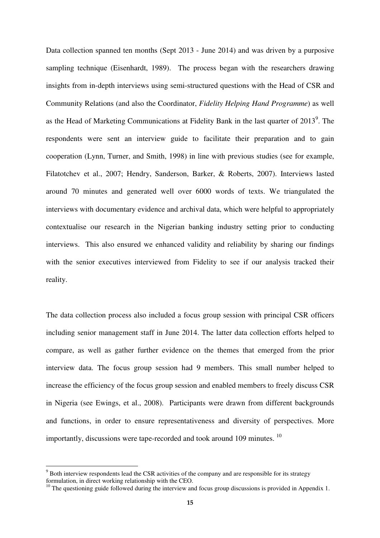Data collection spanned ten months (Sept 2013 - June 2014) and was driven by a purposive sampling technique (Eisenhardt, 1989). The process began with the researchers drawing insights from in-depth interviews using semi-structured questions with the Head of CSR and Community Relations (and also the Coordinator, *Fidelity Helping Hand Programme*) as well as the Head of Marketing Communications at Fidelity Bank in the last quarter of  $2013^9$ . The respondents were sent an interview guide to facilitate their preparation and to gain cooperation (Lynn, Turner, and Smith, 1998) in line with previous studies (see for example, Filatotchev et al., 2007; Hendry, Sanderson, Barker, & Roberts, 2007). Interviews lasted around 70 minutes and generated well over 6000 words of texts. We triangulated the interviews with documentary evidence and archival data, which were helpful to appropriately contextualise our research in the Nigerian banking industry setting prior to conducting interviews. This also ensured we enhanced validity and reliability by sharing our findings with the senior executives interviewed from Fidelity to see if our analysis tracked their reality.

The data collection process also included a focus group session with principal CSR officers including senior management staff in June 2014. The latter data collection efforts helped to compare, as well as gather further evidence on the themes that emerged from the prior interview data. The focus group session had 9 members. This small number helped to increase the efficiency of the focus group session and enabled members to freely discuss CSR in Nigeria (see Ewings, et al., 2008). Participants were drawn from different backgrounds and functions, in order to ensure representativeness and diversity of perspectives. More importantly, discussions were tape-recorded and took around 109 minutes.  $10^{\circ}$ 

<sup>&</sup>lt;sup>9</sup> Both interview respondents lead the CSR activities of the company and are responsible for its strategy formulation, in direct working relationship with the CEO.

<sup>&</sup>lt;sup>10</sup> The questioning guide followed during the interview and focus group discussions is provided in Appendix 1.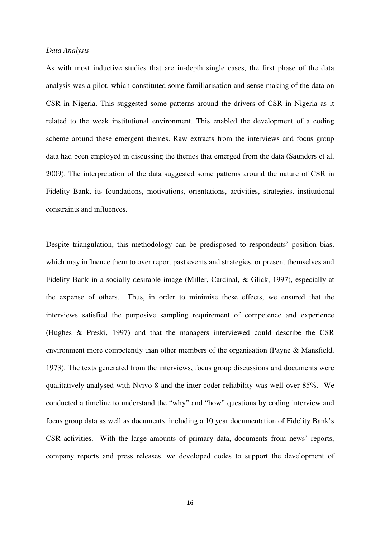#### *Data Analysis*

As with most inductive studies that are in-depth single cases, the first phase of the data analysis was a pilot, which constituted some familiarisation and sense making of the data on CSR in Nigeria. This suggested some patterns around the drivers of CSR in Nigeria as it related to the weak institutional environment. This enabled the development of a coding scheme around these emergent themes. Raw extracts from the interviews and focus group data had been employed in discussing the themes that emerged from the data (Saunders et al, 2009). The interpretation of the data suggested some patterns around the nature of CSR in Fidelity Bank, its foundations, motivations, orientations, activities, strategies, institutional constraints and influences.

Despite triangulation, this methodology can be predisposed to respondents' position bias, which may influence them to over report past events and strategies, or present themselves and Fidelity Bank in a socially desirable image (Miller, Cardinal, & Glick, 1997), especially at the expense of others. Thus, in order to minimise these effects, we ensured that the interviews satisfied the purposive sampling requirement of competence and experience (Hughes & Preski, 1997) and that the managers interviewed could describe the CSR environment more competently than other members of the organisation (Payne & Mansfield, 1973). The texts generated from the interviews, focus group discussions and documents were qualitatively analysed with Nvivo 8 and the inter-coder reliability was well over 85%. We conducted a timeline to understand the "why" and "how" questions by coding interview and focus group data as well as documents, including a 10 year documentation of Fidelity Bank's CSR activities. With the large amounts of primary data, documents from news' reports, company reports and press releases, we developed codes to support the development of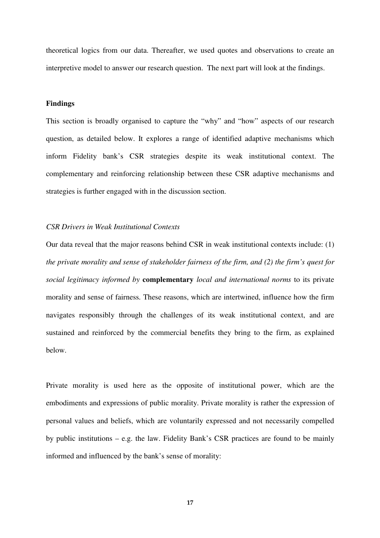theoretical logics from our data. Thereafter, we used quotes and observations to create an interpretive model to answer our research question. The next part will look at the findings.

#### **Findings**

This section is broadly organised to capture the "why" and "how" aspects of our research question, as detailed below. It explores a range of identified adaptive mechanisms which inform Fidelity bank's CSR strategies despite its weak institutional context. The complementary and reinforcing relationship between these CSR adaptive mechanisms and strategies is further engaged with in the discussion section.

## *CSR Drivers in Weak Institutional Contexts*

Our data reveal that the major reasons behind CSR in weak institutional contexts include: (1) *the private morality and sense of stakeholder fairness of the firm, and (2) the firm's quest for social legitimacy informed by* **complementary** *local and international norms* to its private morality and sense of fairness*.* These reasons, which are intertwined, influence how the firm navigates responsibly through the challenges of its weak institutional context, and are sustained and reinforced by the commercial benefits they bring to the firm, as explained below.

Private morality is used here as the opposite of institutional power, which are the embodiments and expressions of public morality. Private morality is rather the expression of personal values and beliefs, which are voluntarily expressed and not necessarily compelled by public institutions – e.g. the law. Fidelity Bank's CSR practices are found to be mainly informed and influenced by the bank's sense of morality: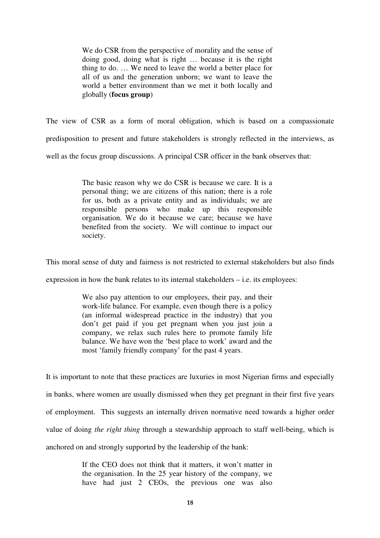We do CSR from the perspective of morality and the sense of doing good, doing what is right … because it is the right thing to do. … We need to leave the world a better place for all of us and the generation unborn; we want to leave the world a better environment than we met it both locally and globally (**focus group**)

The view of CSR as a form of moral obligation, which is based on a compassionate predisposition to present and future stakeholders is strongly reflected in the interviews, as well as the focus group discussions. A principal CSR officer in the bank observes that:

> The basic reason why we do CSR is because we care. It is a personal thing; we are citizens of this nation; there is a role for us, both as a private entity and as individuals; we are responsible persons who make up this responsible organisation. We do it because we care; because we have benefited from the society. We will continue to impact our society.

This moral sense of duty and fairness is not restricted to external stakeholders but also finds

expression in how the bank relates to its internal stakeholders – i.e. its employees:

We also pay attention to our employees, their pay, and their work-life balance. For example, even though there is a policy (an informal widespread practice in the industry) that you don't get paid if you get pregnant when you just join a company, we relax such rules here to promote family life balance. We have won the 'best place to work' award and the most 'family friendly company' for the past 4 years.

It is important to note that these practices are luxuries in most Nigerian firms and especially in banks, where women are usually dismissed when they get pregnant in their first five years of employment. This suggests an internally driven normative need towards a higher order value of doing *the right thing* through a stewardship approach to staff well-being, which is anchored on and strongly supported by the leadership of the bank:

> If the CEO does not think that it matters, it won't matter in the organisation. In the 25 year history of the company, we have had just 2 CEOs, the previous one was also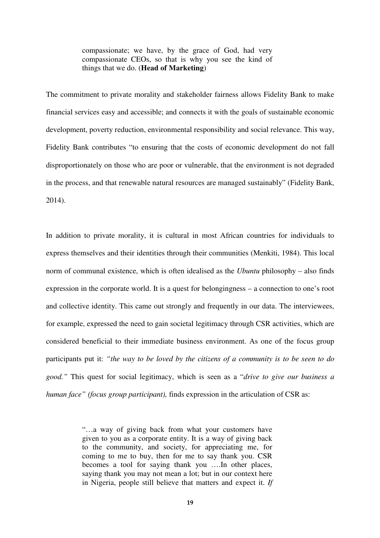compassionate; we have, by the grace of God, had very compassionate CEOs, so that is why you see the kind of things that we do. (**Head of Marketing**)

The commitment to private morality and stakeholder fairness allows Fidelity Bank to make financial services easy and accessible; and connects it with the goals of sustainable economic development, poverty reduction, environmental responsibility and social relevance. This way, Fidelity Bank contributes "to ensuring that the costs of economic development do not fall disproportionately on those who are poor or vulnerable, that the environment is not degraded in the process, and that renewable natural resources are managed sustainably" (Fidelity Bank, 2014).

In addition to private morality, it is cultural in most African countries for individuals to express themselves and their identities through their communities (Menkiti, 1984). This local norm of communal existence, which is often idealised as the *Ubuntu* philosophy – also finds expression in the corporate world. It is a quest for belongingness – a connection to one's root and collective identity. This came out strongly and frequently in our data. The interviewees, for example, expressed the need to gain societal legitimacy through CSR activities, which are considered beneficial to their immediate business environment. As one of the focus group participants put it: *"the way to be loved by the citizens of a community is to be seen to do good."* This quest for social legitimacy, which is seen as a "*drive to give our business a human face" (focus group participant), finds expression in the articulation of CSR as:* 

> "…a way of giving back from what your customers have given to you as a corporate entity. It is a way of giving back to the community, and society, for appreciating me, for coming to me to buy, then for me to say thank you. CSR becomes a tool for saying thank you ….In other places, saying thank you may not mean a lot; but in our context here in Nigeria, people still believe that matters and expect it. *If*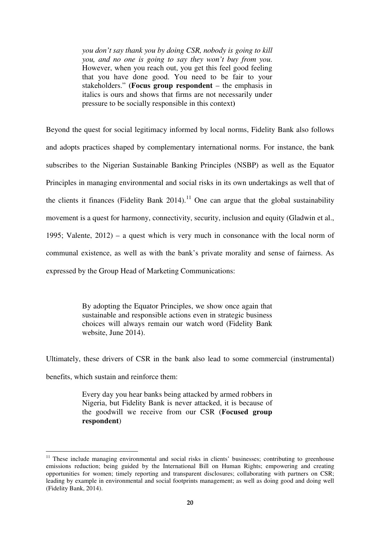*you don't say thank you by doing CSR, nobody is going to kill you, and no one is going to say they won't buy from you*. However, when you reach out, you get this feel good feeling that you have done good. You need to be fair to your stakeholders." **(Focus group respondent** – the emphasis in italics is ours and shows that firms are not necessarily under pressure to be socially responsible in this context**)**

Beyond the quest for social legitimacy informed by local norms, Fidelity Bank also follows and adopts practices shaped by complementary international norms. For instance, the bank subscribes to the Nigerian Sustainable Banking Principles (NSBP) as well as the Equator Principles in managing environmental and social risks in its own undertakings as well that of the clients it finances (Fidelity Bank 2014).<sup>11</sup> One can argue that the global sustainability movement is a quest for harmony, connectivity, security, inclusion and equity (Gladwin et al., 1995; Valente, 2012) – a quest which is very much in consonance with the local norm of communal existence, as well as with the bank's private morality and sense of fairness. As expressed by the Group Head of Marketing Communications:

> By adopting the Equator Principles, we show once again that sustainable and responsible actions even in strategic business choices will always remain our watch word (Fidelity Bank website, June 2014).

Ultimately, these drivers of CSR in the bank also lead to some commercial (instrumental) benefits, which sustain and reinforce them:

> Every day you hear banks being attacked by armed robbers in Nigeria, but Fidelity Bank is never attacked, it is because of the goodwill we receive from our CSR (**Focused group respondent**)

 $\overline{a}$ 

<sup>&</sup>lt;sup>11</sup> These include managing environmental and social risks in clients' businesses; contributing to greenhouse emissions reduction; being guided by the International Bill on Human Rights; empowering and creating opportunities for women; timely reporting and transparent disclosures; collaborating with partners on CSR; leading by example in environmental and social footprints management; as well as doing good and doing well (Fidelity Bank, 2014).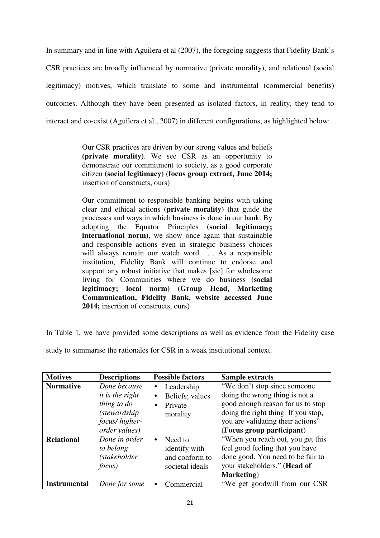In summary and in line with Aguilera et al (2007), the foregoing suggests that Fidelity Bank's CSR practices are broadly influenced by normative (private morality), and relational (social legitimacy) motives, which translate to some and instrumental (commercial benefits) outcomes. Although they have been presented as isolated factors, in reality, they tend to interact and co-exist (Aguilera et al., 2007) in different configurations, as highlighted below:

> Our CSR practices are driven by our strong values and beliefs **(private morality)**. We see CSR as an opportunity to demonstrate our commitment to society, as a good corporate citizen **(social legitimacy)** (**focus group extract, June 2014;**  insertion of constructs, ours)

> Our commitment to responsible banking begins with taking clear and ethical actions **(private morality)** that guide the processes and ways in which business is done in our bank. By adopting the Equator Principles **(social legitimacy; international norm)**, we show once again that sustainable and responsible actions even in strategic business choices will always remain our watch word. …. As a responsible institution, Fidelity Bank will continue to endorse and support any robust initiative that makes [sic] for wholesome living for Communities where we do business **(social legitimacy; local norm)** (**Group Head, Marketing Communication, Fidelity Bank, website accessed June 2014;** insertion of constructs, ours)

In Table 1, we have provided some descriptions as well as evidence from the Fidelity case

|  |  |  |  | study to summarise the rationales for CSR in a weak institutional context. |
|--|--|--|--|----------------------------------------------------------------------------|
|--|--|--|--|----------------------------------------------------------------------------|

| <b>Motives</b>      | <b>Descriptions</b>    | <b>Possible factors</b> | <b>Sample extracts</b>              |
|---------------------|------------------------|-------------------------|-------------------------------------|
| <b>Normative</b>    | Done because           | Leadership              | "We don't stop since someone"       |
|                     | <i>it is the right</i> | Beliefs; values         | doing the wrong thing is not a      |
|                     | thing to do            | Private                 | good enough reason for us to stop   |
|                     | (stewardship           | morality                | doing the right thing. If you stop, |
|                     | focus/higher-          |                         | you are validating their actions"   |
|                     | order values)          |                         | (Focus group participant)           |
| <b>Relational</b>   | Done in order          | Need to                 | "When you reach out, you get this   |
|                     | to belong              | identify with           | feel good feeling that you have     |
|                     | (stakeholder           | and conform to          | done good. You need to be fair to   |
|                     | focus)                 | societal ideals         | your stakeholders." (Head of        |
|                     |                        |                         | Marketing)                          |
| <b>Instrumental</b> | Done for some          | Commercial              | "We get goodwill from our CSR       |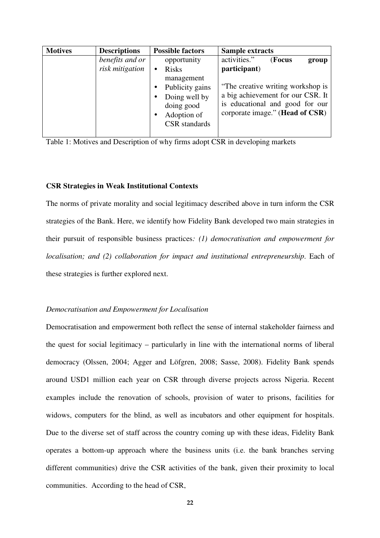| <b>Motives</b> | <b>Descriptions</b> | <b>Possible factors</b> | <b>Sample extracts</b>            |
|----------------|---------------------|-------------------------|-----------------------------------|
|                | benefits and or     | opportunity             | activities."<br>(Focus<br>group   |
|                | risk mitigation     | <b>Risks</b>            | participant)                      |
|                |                     | management              |                                   |
|                |                     | Publicity gains<br>٠    | "The creative writing workshop is |
|                |                     | Doing well by           | a big achievement for our CSR. It |
|                |                     | doing good              | is educational and good for our   |
|                |                     | Adoption of             | corporate image." (Head of CSR)   |
|                |                     | CSR standards           |                                   |
|                |                     |                         |                                   |

Table 1: Motives and Description of why firms adopt CSR in developing markets

#### **CSR Strategies in Weak Institutional Contexts**

The norms of private morality and social legitimacy described above in turn inform the CSR strategies of the Bank. Here, we identify how Fidelity Bank developed two main strategies in their pursuit of responsible business practices*: (1) democratisation and empowerment for localisation; and (2) collaboration for impact and institutional entrepreneurship.* Each of these strategies is further explored next.

## *Democratisation and Empowerment for Localisation*

Democratisation and empowerment both reflect the sense of internal stakeholder fairness and the quest for social legitimacy – particularly in line with the international norms of liberal democracy (Olssen, 2004; Agger and Löfgren, 2008; Sasse, 2008). Fidelity Bank spends around USD1 million each year on CSR through diverse projects across Nigeria. Recent examples include the renovation of schools, provision of water to prisons, facilities for widows, computers for the blind, as well as incubators and other equipment for hospitals. Due to the diverse set of staff across the country coming up with these ideas, Fidelity Bank operates a bottom-up approach where the business units (i.e. the bank branches serving different communities) drive the CSR activities of the bank, given their proximity to local communities. According to the head of CSR,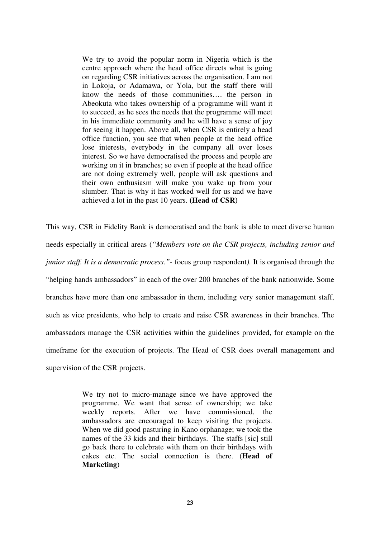We try to avoid the popular norm in Nigeria which is the centre approach where the head office directs what is going on regarding CSR initiatives across the organisation. I am not in Lokoja, or Adamawa, or Yola, but the staff there will know the needs of those communities…. the person in Abeokuta who takes ownership of a programme will want it to succeed, as he sees the needs that the programme will meet in his immediate community and he will have a sense of joy for seeing it happen. Above all, when CSR is entirely a head office function, you see that when people at the head office lose interests, everybody in the company all over loses interest. So we have democratised the process and people are working on it in branches; so even if people at the head office are not doing extremely well, people will ask questions and their own enthusiasm will make you wake up from your slumber. That is why it has worked well for us and we have achieved a lot in the past 10 years. **(Head of CSR)**

This way, CSR in Fidelity Bank is democratised and the bank is able to meet diverse human needs especially in critical areas (*"Members vote on the CSR projects, including senior and junior staff. It is a democratic process.*" - focus group respondent). It is organised through the "helping hands ambassadors" in each of the over 200 branches of the bank nationwide. Some branches have more than one ambassador in them, including very senior management staff, such as vice presidents, who help to create and raise CSR awareness in their branches. The ambassadors manage the CSR activities within the guidelines provided, for example on the timeframe for the execution of projects. The Head of CSR does overall management and supervision of the CSR projects.

> We try not to micro-manage since we have approved the programme. We want that sense of ownership; we take weekly reports. After we have commissioned, the ambassadors are encouraged to keep visiting the projects. When we did good pasturing in Kano orphanage; we took the names of the 33 kids and their birthdays. The staffs [sic] still go back there to celebrate with them on their birthdays with cakes etc. The social connection is there. (**Head of Marketing**)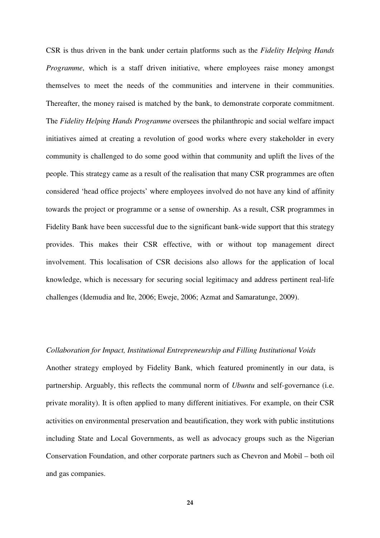CSR is thus driven in the bank under certain platforms such as the *Fidelity Helping Hands Programme*, which is a staff driven initiative, where employees raise money amongst themselves to meet the needs of the communities and intervene in their communities. Thereafter, the money raised is matched by the bank, to demonstrate corporate commitment. The *Fidelity Helping Hands Programme* oversees the philanthropic and social welfare impact initiatives aimed at creating a revolution of good works where every stakeholder in every community is challenged to do some good within that community and uplift the lives of the people. This strategy came as a result of the realisation that many CSR programmes are often considered 'head office projects' where employees involved do not have any kind of affinity towards the project or programme or a sense of ownership. As a result, CSR programmes in Fidelity Bank have been successful due to the significant bank-wide support that this strategy provides. This makes their CSR effective, with or without top management direct involvement. This localisation of CSR decisions also allows for the application of local knowledge, which is necessary for securing social legitimacy and address pertinent real-life challenges (Idemudia and Ite, 2006; Eweje, 2006; Azmat and Samaratunge, 2009).

#### *Collaboration for Impact, Institutional Entrepreneurship and Filling Institutional Voids*

Another strategy employed by Fidelity Bank, which featured prominently in our data, is partnership. Arguably, this reflects the communal norm of *Ubuntu* and self-governance (i.e. private morality). It is often applied to many different initiatives. For example, on their CSR activities on environmental preservation and beautification, they work with public institutions including State and Local Governments, as well as advocacy groups such as the Nigerian Conservation Foundation, and other corporate partners such as Chevron and Mobil – both oil and gas companies.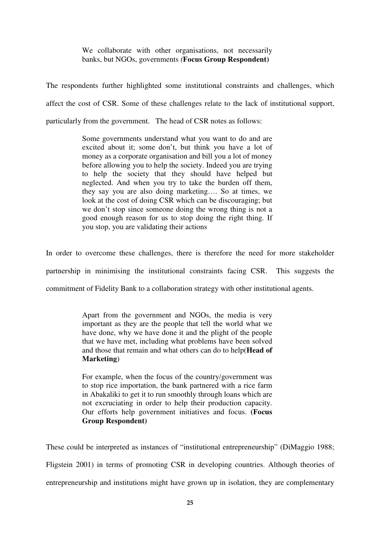We collaborate with other organisations, not necessarily banks, but NGOs, governments *(***Focus Group Respondent)** 

The respondents further highlighted some institutional constraints and challenges, which affect the cost of CSR. Some of these challenges relate to the lack of institutional support, particularly from the government. The head of CSR notes as follows:

> Some governments understand what you want to do and are excited about it; some don't, but think you have a lot of money as a corporate organisation and bill you a lot of money before allowing you to help the society. Indeed you are trying to help the society that they should have helped but neglected. And when you try to take the burden off them, they say you are also doing marketing…. So at times, we look at the cost of doing CSR which can be discouraging; but we don't stop since someone doing the wrong thing is not a good enough reason for us to stop doing the right thing. If you stop, you are validating their actions

In order to overcome these challenges, there is therefore the need for more stakeholder partnership in minimising the institutional constraints facing CSR. This suggests the commitment of Fidelity Bank to a collaboration strategy with other institutional agents.

> Apart from the government and NGOs, the media is very important as they are the people that tell the world what we have done, why we have done it and the plight of the people that we have met, including what problems have been solved and those that remain and what others can do to help(**Head of Marketing**)

> For example, when the focus of the country/government was to stop rice importation, the bank partnered with a rice farm in Abakaliki to get it to run smoothly through loans which are not excruciating in order to help their production capacity. Our efforts help government initiatives and focus. **(Focus Group Respondent)**

These could be interpreted as instances of "institutional entrepreneurship" (DiMaggio 1988; Fligstein 2001) in terms of promoting CSR in developing countries. Although theories of entrepreneurship and institutions might have grown up in isolation, they are complementary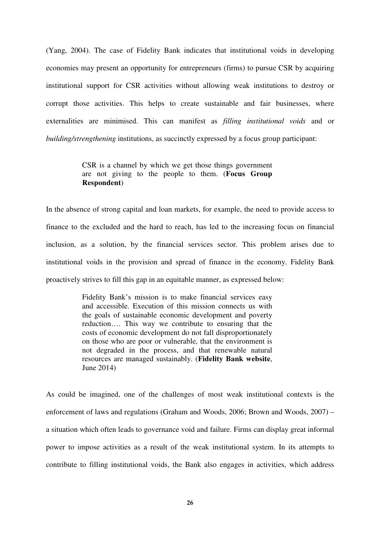(Yang, 2004). The case of Fidelity Bank indicates that institutional voids in developing economies may present an opportunity for entrepreneurs (firms) to pursue CSR by acquiring institutional support for CSR activities without allowing weak institutions to destroy or corrupt those activities. This helps to create sustainable and fair businesses, where externalities are minimised. This can manifest as *filling institutional voids* and or *building/strengthening* institutions, as succinctly expressed by a focus group participant:

> CSR is a channel by which we get those things government are not giving to the people to them. (**Focus Group Respondent**)

In the absence of strong capital and loan markets, for example, the need to provide access to finance to the excluded and the hard to reach, has led to the increasing focus on financial inclusion, as a solution, by the financial services sector. This problem arises due to institutional voids in the provision and spread of finance in the economy. Fidelity Bank proactively strives to fill this gap in an equitable manner, as expressed below:

> Fidelity Bank's mission is to make financial services easy and accessible. Execution of this mission connects us with the goals of sustainable economic development and poverty reduction…. This way we contribute to ensuring that the costs of economic development do not fall disproportionately on those who are poor or vulnerable, that the environment is not degraded in the process, and that renewable natural resources are managed sustainably. (**Fidelity Bank website**, June 2014)

As could be imagined, one of the challenges of most weak institutional contexts is the enforcement of laws and regulations (Graham and Woods, 2006; Brown and Woods, 2007) – a situation which often leads to governance void and failure. Firms can display great informal power to impose activities as a result of the weak institutional system. In its attempts to contribute to filling institutional voids, the Bank also engages in activities, which address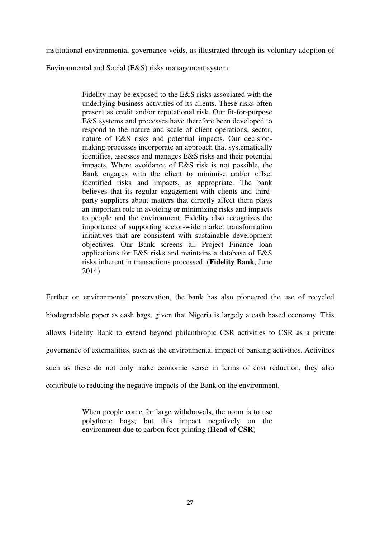institutional environmental governance voids, as illustrated through its voluntary adoption of

Environmental and Social (E&S) risks management system:

Fidelity may be exposed to the E&S risks associated with the underlying business activities of its clients. These risks often present as credit and/or reputational risk. Our fit-for-purpose E&S systems and processes have therefore been developed to respond to the nature and scale of client operations, sector, nature of E&S risks and potential impacts. Our decisionmaking processes incorporate an approach that systematically identifies, assesses and manages E&S risks and their potential impacts. Where avoidance of E&S risk is not possible, the Bank engages with the client to minimise and/or offset identified risks and impacts, as appropriate. The bank believes that its regular engagement with clients and thirdparty suppliers about matters that directly affect them plays an important role in avoiding or minimizing risks and impacts to people and the environment. Fidelity also recognizes the importance of supporting sector-wide market transformation initiatives that are consistent with sustainable development objectives. Our Bank screens all Project Finance loan applications for E&S risks and maintains a database of E&S risks inherent in transactions processed. (**Fidelity Bank**, June 2014)

Further on environmental preservation, the bank has also pioneered the use of recycled biodegradable paper as cash bags, given that Nigeria is largely a cash based economy. This allows Fidelity Bank to extend beyond philanthropic CSR activities to CSR as a private governance of externalities, such as the environmental impact of banking activities. Activities such as these do not only make economic sense in terms of cost reduction, they also contribute to reducing the negative impacts of the Bank on the environment.

> When people come for large withdrawals, the norm is to use polythene bags; but this impact negatively on the environment due to carbon foot-printing (**Head of CSR**)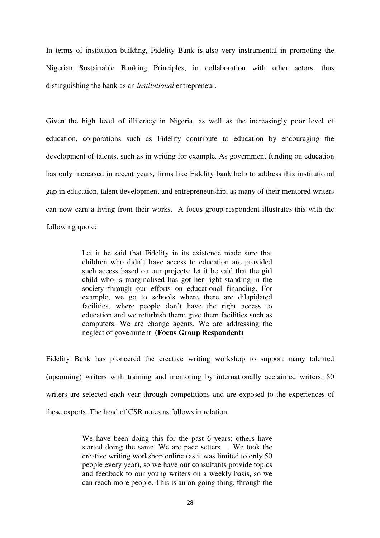In terms of institution building, Fidelity Bank is also very instrumental in promoting the Nigerian Sustainable Banking Principles, in collaboration with other actors, thus distinguishing the bank as an *institutional* entrepreneur.

Given the high level of illiteracy in Nigeria, as well as the increasingly poor level of education, corporations such as Fidelity contribute to education by encouraging the development of talents, such as in writing for example. As government funding on education has only increased in recent years, firms like Fidelity bank help to address this institutional gap in education, talent development and entrepreneurship, as many of their mentored writers can now earn a living from their works. A focus group respondent illustrates this with the following quote:

> Let it be said that Fidelity in its existence made sure that children who didn't have access to education are provided such access based on our projects; let it be said that the girl child who is marginalised has got her right standing in the society through our efforts on educational financing. For example, we go to schools where there are dilapidated facilities, where people don't have the right access to education and we refurbish them; give them facilities such as computers. We are change agents. We are addressing the neglect of government. **(Focus Group Respondent)**

Fidelity Bank has pioneered the creative writing workshop to support many talented (upcoming) writers with training and mentoring by internationally acclaimed writers. 50 writers are selected each year through competitions and are exposed to the experiences of these experts. The head of CSR notes as follows in relation.

> We have been doing this for the past 6 years; others have started doing the same. We are pace setters…. We took the creative writing workshop online (as it was limited to only 50 people every year), so we have our consultants provide topics and feedback to our young writers on a weekly basis, so we can reach more people. This is an on-going thing, through the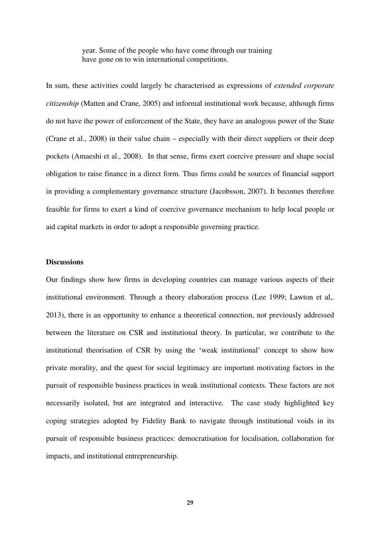year. Some of the people who have come through our training have gone on to win international competitions.

In sum, these activities could largely be characterised as expressions of *extended corporate citizenship* (Matten and Crane, 2005) and informal institutional work because, although firms do not have the power of enforcement of the State, they have an analogous power of the State (Crane et al., 2008) in their value chain – especially with their direct suppliers or their deep pockets (Amaeshi et al., 2008). In that sense, firms exert coercive pressure and shape social obligation to raise finance in a direct form. Thus firms could be sources of financial support in providing a complementary governance structure (Jacobsson, 2007). It becomes therefore feasible for firms to exert a kind of coercive governance mechanism to help local people or aid capital markets in order to adopt a responsible governing practice.

# **Discussions**

Our findings show how firms in developing countries can manage various aspects of their institutional environment. Through a theory elaboration process (Lee 1999; Lawton et al,. 2013), there is an opportunity to enhance a theoretical connection, not previously addressed between the literature on CSR and institutional theory. In particular, we contribute to the institutional theorisation of CSR by using the 'weak institutional' concept to show how private morality, and the quest for social legitimacy are important motivating factors in the pursuit of responsible business practices in weak institutional contexts. These factors are not necessarily isolated, but are integrated and interactive. The case study highlighted key coping strategies adopted by Fidelity Bank to navigate through institutional voids in its pursuit of responsible business practices: democratisation for localisation, collaboration for impacts, and institutional entrepreneurship.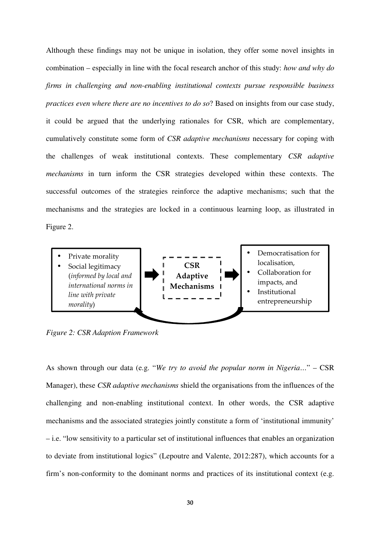Although these findings may not be unique in isolation, they offer some novel insights in combination – especially in line with the focal research anchor of this study: *how and why do firms in challenging and non-enabling institutional contexts pursue responsible business practices even where there are no incentives to do so*? Based on insights from our case study, it could be argued that the underlying rationales for CSR, which are complementary, cumulatively constitute some form of *CSR adaptive mechanisms* necessary for coping with the challenges of weak institutional contexts. These complementary *CSR adaptive mechanisms* in turn inform the CSR strategies developed within these contexts. The successful outcomes of the strategies reinforce the adaptive mechanisms; such that the mechanisms and the strategies are locked in a continuous learning loop, as illustrated in Figure 2.



*Figure 2: CSR Adaption Framework*

As shown through our data (e.g. "*We try to avoid the popular norm in Nigeria…*" – CSR Manager), these *CSR adaptive mechanisms* shield the organisations from the influences of the challenging and non-enabling institutional context. In other words, the CSR adaptive mechanisms and the associated strategies jointly constitute a form of 'institutional immunity' – i.e. "low sensitivity to a particular set of institutional influences that enables an organization to deviate from institutional logics" (Lepoutre and Valente, 2012:287), which accounts for a firm's non-conformity to the dominant norms and practices of its institutional context (e.g.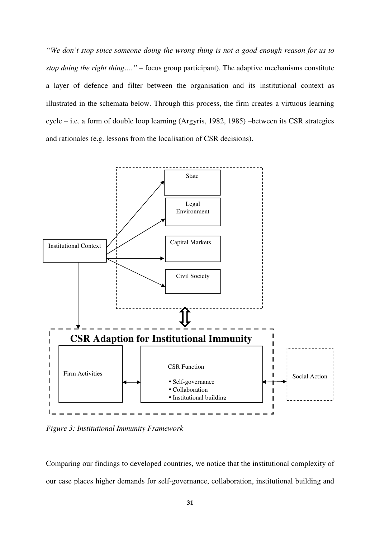*"We don't stop since someone doing the wrong thing is not a good enough reason for us to stop doing the right thing…."* – focus group participant). The adaptive mechanisms constitute a layer of defence and filter between the organisation and its institutional context as illustrated in the schemata below. Through this process, the firm creates a virtuous learning cycle – i.e. a form of double loop learning (Argyris, 1982, 1985) –between its CSR strategies and rationales (e.g. lessons from the localisation of CSR decisions).



*Figure 3: Institutional Immunity Framework* 

Comparing our findings to developed countries, we notice that the institutional complexity of our case places higher demands for self-governance, collaboration, institutional building and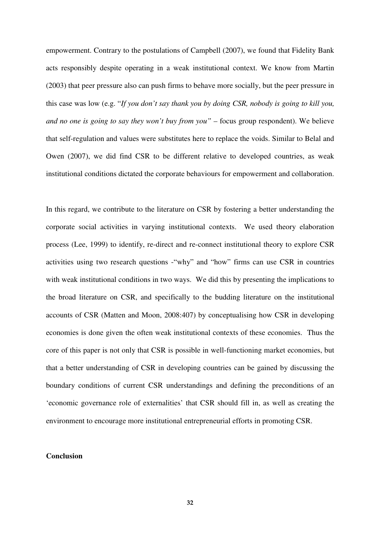empowerment. Contrary to the postulations of Campbell (2007), we found that Fidelity Bank acts responsibly despite operating in a weak institutional context. We know from Martin (2003) that peer pressure also can push firms to behave more socially, but the peer pressure in this case was low (e.g. "*If you don't say thank you by doing CSR, nobody is going to kill you, and no one is going to say they won't buy from you"* – focus group respondent). We believe that self-regulation and values were substitutes here to replace the voids. Similar to Belal and Owen (2007), we did find CSR to be different relative to developed countries, as weak institutional conditions dictated the corporate behaviours for empowerment and collaboration.

In this regard, we contribute to the literature on CSR by fostering a better understanding the corporate social activities in varying institutional contexts. We used theory elaboration process (Lee, 1999) to identify, re-direct and re-connect institutional theory to explore CSR activities using two research questions -"why" and "how" firms can use CSR in countries with weak institutional conditions in two ways. We did this by presenting the implications to the broad literature on CSR, and specifically to the budding literature on the institutional accounts of CSR (Matten and Moon, 2008:407) by conceptualising how CSR in developing economies is done given the often weak institutional contexts of these economies. Thus the core of this paper is not only that CSR is possible in well-functioning market economies, but that a better understanding of CSR in developing countries can be gained by discussing the boundary conditions of current CSR understandings and defining the preconditions of an 'economic governance role of externalities' that CSR should fill in, as well as creating the environment to encourage more institutional entrepreneurial efforts in promoting CSR.

## **Conclusion**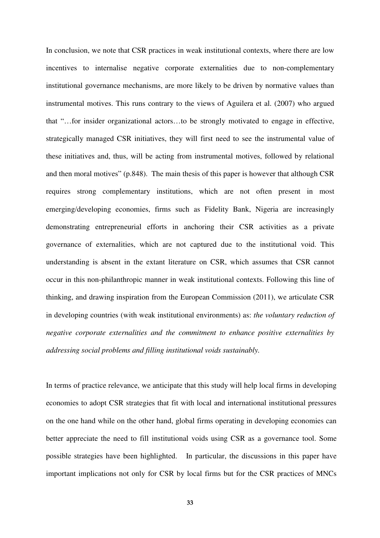In conclusion, we note that CSR practices in weak institutional contexts, where there are low incentives to internalise negative corporate externalities due to non-complementary institutional governance mechanisms, are more likely to be driven by normative values than instrumental motives. This runs contrary to the views of Aguilera et al. (2007) who argued that "…for insider organizational actors…to be strongly motivated to engage in effective, strategically managed CSR initiatives, they will first need to see the instrumental value of these initiatives and, thus, will be acting from instrumental motives, followed by relational and then moral motives" (p.848). The main thesis of this paper is however that although CSR requires strong complementary institutions, which are not often present in most emerging/developing economies, firms such as Fidelity Bank, Nigeria are increasingly demonstrating entrepreneurial efforts in anchoring their CSR activities as a private governance of externalities, which are not captured due to the institutional void. This understanding is absent in the extant literature on CSR, which assumes that CSR cannot occur in this non-philanthropic manner in weak institutional contexts. Following this line of thinking, and drawing inspiration from the European Commission (2011), we articulate CSR in developing countries (with weak institutional environments) as: *the voluntary reduction of negative corporate externalities and the commitment to enhance positive externalities by addressing social problems and filling institutional voids sustainably.* 

In terms of practice relevance, we anticipate that this study will help local firms in developing economies to adopt CSR strategies that fit with local and international institutional pressures on the one hand while on the other hand, global firms operating in developing economies can better appreciate the need to fill institutional voids using CSR as a governance tool. Some possible strategies have been highlighted. In particular, the discussions in this paper have important implications not only for CSR by local firms but for the CSR practices of MNCs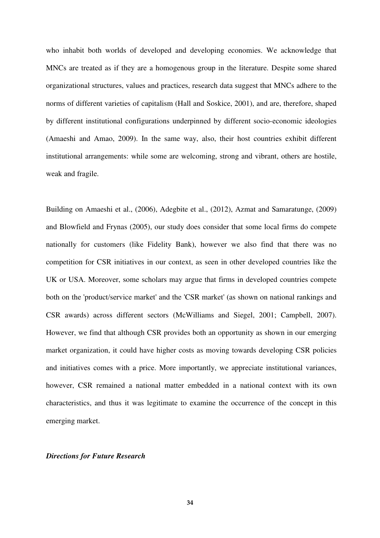who inhabit both worlds of developed and developing economies. We acknowledge that MNCs are treated as if they are a homogenous group in the literature. Despite some shared organizational structures, values and practices, research data suggest that MNCs adhere to the norms of different varieties of capitalism (Hall and Soskice, 2001), and are, therefore, shaped by different institutional configurations underpinned by different socio-economic ideologies (Amaeshi and Amao, 2009). In the same way, also, their host countries exhibit different institutional arrangements: while some are welcoming, strong and vibrant, others are hostile, weak and fragile.

Building on Amaeshi et al., (2006), Adegbite et al., (2012), Azmat and Samaratunge, (2009) and Blowfield and Frynas (2005), our study does consider that some local firms do compete nationally for customers (like Fidelity Bank), however we also find that there was no competition for CSR initiatives in our context, as seen in other developed countries like the UK or USA. Moreover, some scholars may argue that firms in developed countries compete both on the 'product/service market' and the 'CSR market' (as shown on national rankings and CSR awards) across different sectors (McWilliams and Siegel, 2001; Campbell, 2007). However, we find that although CSR provides both an opportunity as shown in our emerging market organization, it could have higher costs as moving towards developing CSR policies and initiatives comes with a price. More importantly, we appreciate institutional variances, however, CSR remained a national matter embedded in a national context with its own characteristics, and thus it was legitimate to examine the occurrence of the concept in this emerging market.

## *Directions for Future Research*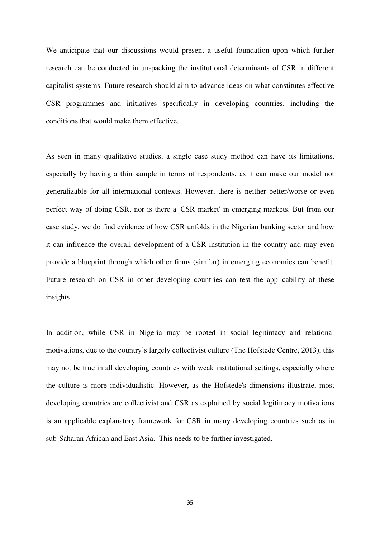We anticipate that our discussions would present a useful foundation upon which further research can be conducted in un-packing the institutional determinants of CSR in different capitalist systems. Future research should aim to advance ideas on what constitutes effective CSR programmes and initiatives specifically in developing countries, including the conditions that would make them effective.

As seen in many qualitative studies, a single case study method can have its limitations, especially by having a thin sample in terms of respondents, as it can make our model not generalizable for all international contexts. However, there is neither better/worse or even perfect way of doing CSR, nor is there a 'CSR market' in emerging markets. But from our case study, we do find evidence of how CSR unfolds in the Nigerian banking sector and how it can influence the overall development of a CSR institution in the country and may even provide a blueprint through which other firms (similar) in emerging economies can benefit. Future research on CSR in other developing countries can test the applicability of these insights.

In addition, while CSR in Nigeria may be rooted in social legitimacy and relational motivations, due to the country's largely collectivist culture (The Hofstede Centre, 2013), this may not be true in all developing countries with weak institutional settings, especially where the culture is more individualistic. However, as the Hofstede's dimensions illustrate, most developing countries are collectivist and CSR as explained by social legitimacy motivations is an applicable explanatory framework for CSR in many developing countries such as in sub-Saharan African and East Asia. This needs to be further investigated.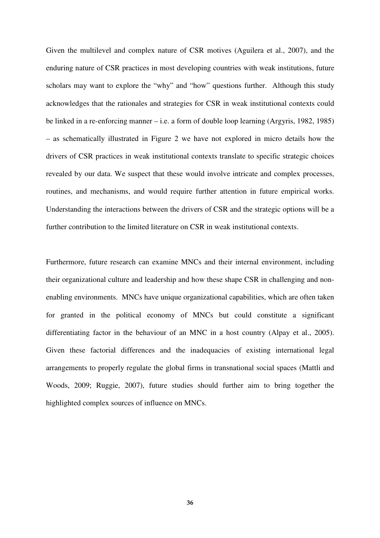Given the multilevel and complex nature of CSR motives (Aguilera et al., 2007), and the enduring nature of CSR practices in most developing countries with weak institutions, future scholars may want to explore the "why" and "how" questions further. Although this study acknowledges that the rationales and strategies for CSR in weak institutional contexts could be linked in a re-enforcing manner – i.e. a form of double loop learning (Argyris, 1982, 1985) – as schematically illustrated in Figure 2 we have not explored in micro details how the drivers of CSR practices in weak institutional contexts translate to specific strategic choices revealed by our data. We suspect that these would involve intricate and complex processes, routines, and mechanisms, and would require further attention in future empirical works. Understanding the interactions between the drivers of CSR and the strategic options will be a further contribution to the limited literature on CSR in weak institutional contexts.

Furthermore, future research can examine MNCs and their internal environment, including their organizational culture and leadership and how these shape CSR in challenging and nonenabling environments. MNCs have unique organizational capabilities, which are often taken for granted in the political economy of MNCs but could constitute a significant differentiating factor in the behaviour of an MNC in a host country (Alpay et al., 2005). Given these factorial differences and the inadequacies of existing international legal arrangements to properly regulate the global firms in transnational social spaces (Mattli and Woods, 2009; Ruggie, 2007), future studies should further aim to bring together the highlighted complex sources of influence on MNCs.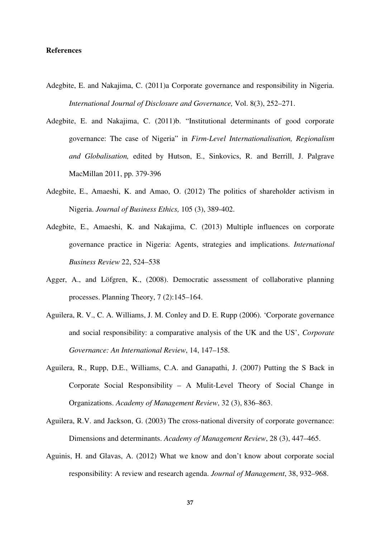## **References**

- Adegbite, E. and Nakajima, C. (2011)a Corporate governance and responsibility in Nigeria. *International Journal of Disclosure and Governance,* Vol. 8(3), 252–271.
- Adegbite, E. and Nakajima, C. (2011)b. "Institutional determinants of good corporate governance: The case of Nigeria" in *Firm-Level Internationalisation, Regionalism and Globalisation,* edited by Hutson, E., Sinkovics, R. and Berrill, J. Palgrave MacMillan 2011, pp. 379-396
- Adegbite, E., Amaeshi, K. and Amao, O. (2012) The politics of shareholder activism in Nigeria. *Journal of Business Ethics,* 105 (3), 389-402.
- Adegbite, E., Amaeshi, K. and Nakajima, C. (2013) Multiple influences on corporate governance practice in Nigeria: Agents, strategies and implications. *International Business Review* 22, 524–538
- Agger, A., and Löfgren, K., (2008). Democratic assessment of collaborative planning processes. Planning Theory, 7 (2):145–164.
- Aguilera, R. V., C. A. Williams, J. M. Conley and D. E. Rupp (2006). 'Corporate governance and social responsibility: a comparative analysis of the UK and the US', *Corporate Governance: An International Review*, 14, 147–158.
- Aguilera, R., Rupp, D.E., Williams, C.A. and Ganapathi, J. (2007) Putting the S Back in Corporate Social Responsibility – A Mulit-Level Theory of Social Change in Organizations. *Academy of Management Review*, 32 (3), 836–863.
- Aguilera, R.V. and Jackson, G. (2003) The cross-national diversity of corporate governance: Dimensions and determinants. *Academy of Management Review*, 28 (3), 447–465.
- Aguinis, H. and Glavas, A. (2012) What we know and don't know about corporate social responsibility: A review and research agenda. *Journal of Management*, 38, 932–968.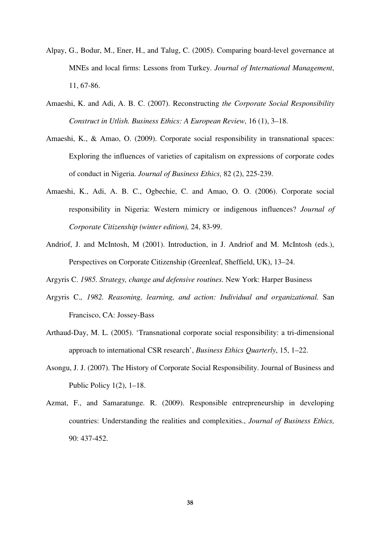- Alpay, G., Bodur, M., Ener, H., and Talug, C. (2005). Comparing board-level governance at MNEs and local firms: Lessons from Turkey. *Journal of International Management*, 11, 67-86.
- Amaeshi, K. and Adi, A. B. C. (2007). Reconstructing *the Corporate Social Responsibility Construct in Utlish. Business Ethics: A European Review,* 16 (1), 3–18.
- Amaeshi, K., & Amao, O. (2009). Corporate social responsibility in transnational spaces: Exploring the influences of varieties of capitalism on expressions of corporate codes of conduct in Nigeria. *Journal of Business Ethics,* 82 (2), 225-239.
- Amaeshi, K., Adi, A. B. C., Ogbechie, C. and Amao, O. O. (2006). Corporate social responsibility in Nigeria: Western mimicry or indigenous influences? *Journal of Corporate Citizenship (winter edition),* 24, 83-99.
- Andriof, J. and McIntosh, M (2001). Introduction, in J. Andriof and M. McIntosh (eds.), Perspectives on Corporate Citizenship (Greenleaf, Sheffield, UK), 13–24.
- Argyris C. *1985. Strategy, change and defensive routines.* New York: Harper Business
- Argyris C.*, 1982. Reasoning, learning, and action: Individual and organizational.* San Francisco, CA: Jossey-Bass
- Arthaud-Day, M. L. (2005). 'Transnational corporate social responsibility: a tri-dimensional approach to international CSR research', *Business Ethics Quarterly*, 15, 1–22.
- Asongu, J. J. (2007). The History of Corporate Social Responsibility. Journal of Business and Public Policy 1(2), 1–18.
- Azmat, F., and Samaratunge. R. (2009). Responsible entrepreneurship in developing countries: Understanding the realities and complexities., *Journal of Business Ethics,* 90: 437-452.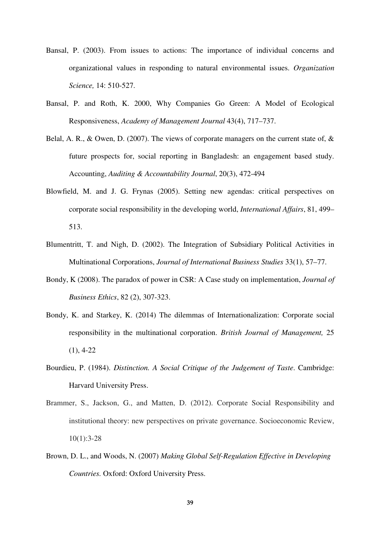- Bansal, P. (2003). From issues to actions: The importance of individual concerns and organizational values in responding to natural environmental issues. *Organization Science,* 14: 510-527.
- Bansal, P. and Roth, K. 2000, Why Companies Go Green: A Model of Ecological Responsiveness, *Academy of Management Journal* 43(4), 717–737.
- Belal, A. R., & Owen, D. (2007). The views of corporate managers on the current state of, & future prospects for, social reporting in Bangladesh: an engagement based study. Accounting, *Auditing & Accountability Journal*, 20(3), 472-494
- Blowfield, M. and J. G. Frynas (2005). Setting new agendas: critical perspectives on corporate social responsibility in the developing world, *International Affairs*, 81, 499– 513.
- Blumentritt, T. and Nigh, D. (2002). The Integration of Subsidiary Political Activities in Multinational Corporations, *Journal of International Business Studies* 33(1), 57–77.
- Bondy, K (2008). The paradox of power in CSR: A Case study on implementation, *Journal of Business Ethics*, 82 (2), 307-323.
- Bondy, K. and Starkey, K. (2014) The dilemmas of Internationalization: Corporate social responsibility in the multinational corporation. *British Journal of Management,* 25  $(1), 4-22$
- Bourdieu, P. (1984). *Distinction. A Social Critique of the Judgement of Taste*. Cambridge: Harvard University Press.
- Brammer, S., Jackson, G., and Matten, D. (2012). Corporate Social Responsibility and institutional theory: new perspectives on private governance. Socioeconomic Review,  $10(1):3-28$
- Brown, D. L., and Woods, N. (2007) *Making Global Self-Regulation Effective in Developing Countries.* Oxford: Oxford University Press.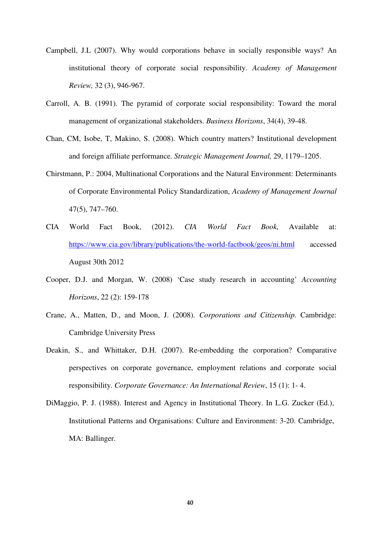- Campbell, J.L (2007). Why would corporations behave in socially responsible ways? An institutional theory of corporate social responsibility. *Academy of Management Review,* 32 (3), 946-967.
- Carroll, A. B. (1991). The pyramid of corporate social responsibility: Toward the moral management of organizational stakeholders. *Business Horizons*, 34(4), 39-48.
- Chan, CM, Isobe, T, Makino, S. (2008). Which country matters? Institutional development and foreign affiliate performance. *Strategic Management Journal,* 29, 1179–1205.
- Chirstmann, P.: 2004, Multinational Corporations and the Natural Environment: Determinants of Corporate Environmental Policy Standardization, *Academy of Management Journal* 47(5), 747–760.
- CIA World Fact Book, (2012). *CIA World Fact Book*, Available at: https://www.cia.gov/library/publications/the-world-factbook/geos/ni.html accessed August 30th 2012
- Cooper, D.J. and Morgan, W. (2008) 'Case study research in accounting' *Accounting Horizons*, 22 (2): 159-178
- Crane, A., Matten, D., and Moon, J. (2008). *Corporations and Citizenship.* Cambridge: Cambridge University Press
- Deakin, S., and Whittaker, D.H. (2007). Re-embedding the corporation? Comparative perspectives on corporate governance, employment relations and corporate social responsibility. *Corporate Governance: An International Review*, 15 (1): 1- 4.
- DiMaggio, P. J. (1988). Interest and Agency in Institutional Theory. In L.G. Zucker (Ed.), Institutional Patterns and Organisations: Culture and Environment: 3-20. Cambridge, MA: Ballinger.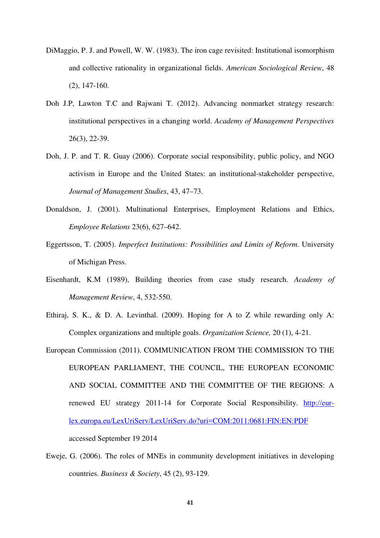- DiMaggio, P. J. and Powell, W. W. (1983). The iron cage revisited: Institutional isomorphism and collective rationality in organizational fields. *American Sociological Review*, 48 (2), 147-160.
- Doh J.P, Lawton T.C and Rajwani T. (2012). Advancing nonmarket strategy research: institutional perspectives in a changing world. *Academy of Management Perspectives* 26(3), 22-39.
- Doh, J. P. and T. R. Guay (2006). Corporate social responsibility, public policy, and NGO activism in Europe and the United States: an institutional-stakeholder perspective, *Journal of Management Studies*, 43, 47–73.
- Donaldson, J. (2001). Multinational Enterprises, Employment Relations and Ethics, *Employee Relations* 23(6), 627–642.
- Eggertsson, T. (2005). *Imperfect Institutions: Possibilities and Limits of Reform*. University of Michigan Press.
- Eisenhardt, K.M (1989), Building theories from case study research. *Academy of Management Review*, 4, 532-550.
- Ethiraj, S. K., & D. A. Levinthal. (2009). Hoping for A to Z while rewarding only A: Complex organizations and multiple goals. *Organization Science,* 20 (1), 4-21.
- European Commission (2011). COMMUNICATION FROM THE COMMISSION TO THE EUROPEAN PARLIAMENT, THE COUNCIL, THE EUROPEAN ECONOMIC AND SOCIAL COMMITTEE AND THE COMMITTEE OF THE REGIONS: A renewed EU strategy 2011-14 for Corporate Social Responsibility. http://eurlex.europa.eu/LexUriServ/LexUriServ.do?uri=COM:2011:0681:FIN:EN:PDF accessed September 19 2014
- Eweje, G. (2006). The roles of MNEs in community development initiatives in developing countries. *Business & Society*, 45 (2), 93-129.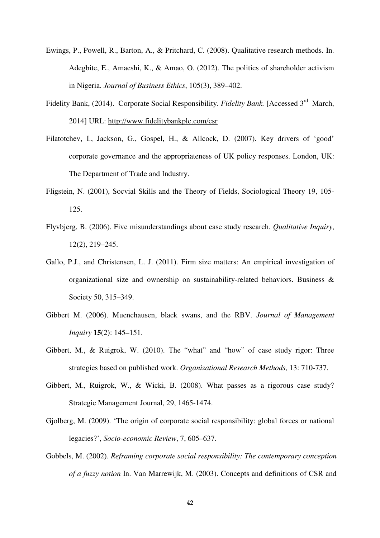- Ewings, P., Powell, R., Barton, A., & Pritchard, C. (2008). Qualitative research methods. In. Adegbite, E., Amaeshi, K., & Amao, O. (2012). The politics of shareholder activism in Nigeria. *Journal of Business Ethics*, 105(3), 389–402.
- Fidelity Bank, (2014). Corporate Social Responsibility. *Fidelity Bank*. [Accessed 3<sup>rd</sup> March, 2014] URL: http://www.fidelitybankplc.com/csr
- Filatotchev, I., Jackson, G., Gospel, H., & Allcock, D. (2007). Key drivers of 'good' corporate governance and the appropriateness of UK policy responses. London, UK: The Department of Trade and Industry.
- Fligstein, N. (2001), Socvial Skills and the Theory of Fields, Sociological Theory 19, 105- 125.
- Flyvbjerg, B. (2006). Five misunderstandings about case study research. *Qualitative Inquiry*, 12(2), 219–245.
- Gallo, P.J., and Christensen, L. J. (2011). Firm size matters: An empirical investigation of organizational size and ownership on sustainability-related behaviors. Business  $\&$ Society 50, 315–349.
- Gibbert M. (2006). Muenchausen, black swans, and the RBV. *Journal of Management Inquiry* **15**(2): 145–151.
- Gibbert, M., & Ruigrok, W. (2010). The "what" and "how" of case study rigor: Three strategies based on published work. *Organizational Research Methods,* 13: 710-737.
- Gibbert, M., Ruigrok, W., & Wicki, B. (2008). What passes as a rigorous case study? Strategic Management Journal, 29, 1465-1474.
- Gjolberg, M. (2009). 'The origin of corporate social responsibility: global forces or national legacies?', *Socio-economic Review*, 7, 605–637.
- Gobbels, M. (2002). *Reframing corporate social responsibility: The contemporary conception of a fuzzy notion* In. Van Marrewijk, M. (2003). Concepts and definitions of CSR and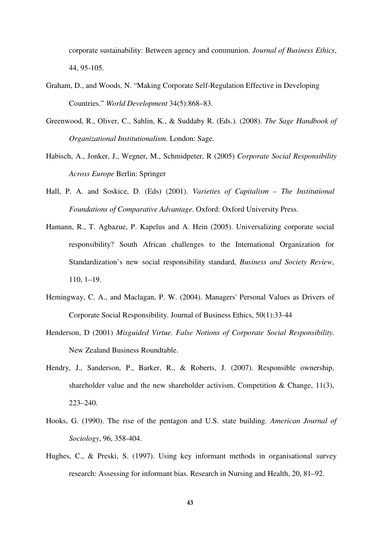corporate sustainability: Between agency and communion. *Journal of Business Ethics*, 44, 95-105.

- Graham, D., and Woods, N. "Making Corporate Self-Regulation Effective in Developing Countries." *World Development* 34(5):868–83.
- Greenwood, R., Oliver, C., Sahlin, K., & Suddaby R. (Eds.). (2008). *The Sage Handbook of Organizational Institutionalism.* London: Sage.
- Habisch, A., Jonker, J., Wegner, M., Schmidpeter, R (2005) *Corporate Social Responsibility Across Europe* Berlin: Springer
- Hall, P. A. and Soskice, D. (Eds) (2001). *Varieties of Capitalism The Institutional Foundations of Comparative Advantage*. Oxford: Oxford University Press.
- Hamann, R., T. Agbazue, P. Kapelus and A. Hein (2005). Universalizing corporate social responsibility? South African challenges to the International Organization for Standardization's new social responsibility standard, *Business and Society Review*, 110, 1–19.
- Hemingway, C. A., and Maclagan, P. W. (2004). Managers' Personal Values as Drivers of Corporate Social Responsibility. Journal of Business Ethics, 50(1):33-44
- Henderson, D (2001) *Misguided Virtue. False Notions of Corporate Social Responsibility.*  New Zealand Business Roundtable.
- Hendry, J., Sanderson, P., Barker, R., & Roberts, J. (2007). Responsible ownership, shareholder value and the new shareholder activism. Competition  $\&$  Change, 11(3), 223–240.
- Hooks, G. (1990). The rise of the pentagon and U.S. state building. *American Journal of Sociology*, 96, 358-404.
- Hughes, C., & Preski, S. (1997). Using key informant methods in organisational survey research: Assessing for informant bias. Research in Nursing and Health, 20, 81–92.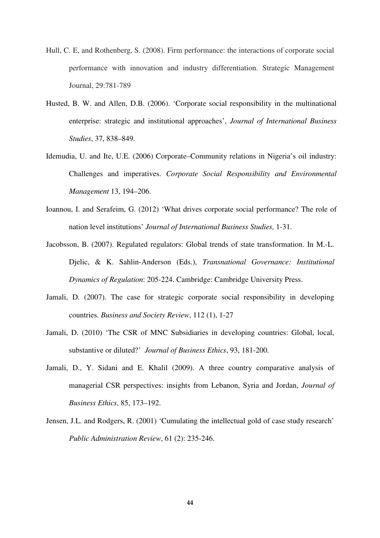- Hull, C. E, and Rothenberg, S. (2008). Firm performance: the interactions of corporate social performance with innovation and industry differentiation. Strategic Management Journal, 29:781-789
- Husted, B. W. and Allen, D.B. (2006). 'Corporate social responsibility in the multinational enterprise: strategic and institutional approaches', *Journal of International Business Studies*, 37, 838–849.
- Idemudia, U. and Ite, U.E. (2006) Corporate–Community relations in Nigeria's oil industry: Challenges and imperatives. *Corporate Social Responsibility and Environmental Management* 13, 194–206.
- Ioannou, I. and Serafeim, G. (2012) 'What drives corporate social performance? The role of nation level institutions' *Journal of International Business Studies,* 1-31.
- Jacobsson, B. (2007). Regulated regulators: Global trends of state transformation. In M.-L. Djelic, & K. Sahlin-Anderson (Eds.), *Transnational Governance: Institutional Dynamics of Regulation*: 205-224. Cambridge: Cambridge University Press.
- Jamali, D. (2007). The case for strategic corporate social responsibility in developing countries. *Business and Society Review*, 112 (1), 1-27
- Jamali, D. (2010) 'The CSR of MNC Subsidiaries in developing countries: Global, local, substantive or diluted?' *Journal of Business Ethics*, 93, 181-200.
- Jamali, D., Y. Sidani and E. Khalil (2009). A three country comparative analysis of managerial CSR perspectives: insights from Lebanon, Syria and Jordan, *Journal of Business Ethics*, 85, 173–192.
- Jensen, J.L. and Rodgers, R. (2001) 'Cumulating the intellectual gold of case study research' *Public Administration Review*, 61 (2): 235-246.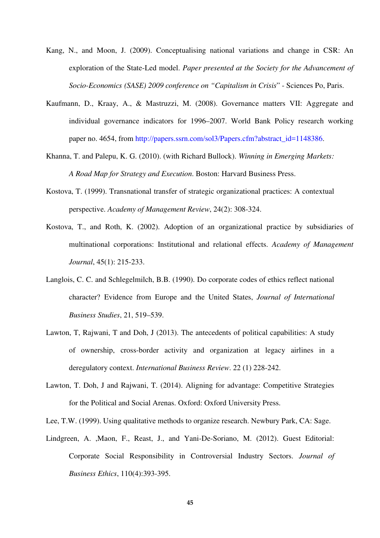- Kang, N., and Moon, J. (2009). Conceptualising national variations and change in CSR: An exploration of the State-Led model. *Paper presented at the Society for the Advancement of Socio-Economics (SASE) 2009 conference on "Capitalism in Crisis*" - Sciences Po, Paris.
- Kaufmann, D., Kraay, A., & Mastruzzi, M. (2008). Governance matters VII: Aggregate and individual governance indicators for 1996–2007. World Bank Policy research working paper no. 4654, from http://papers.ssrn.com/sol3/Papers.cfm?abstract\_id=1148386.
- Khanna, T. and Palepu, K. G. (2010). (with Richard Bullock). *Winning in Emerging Markets: A Road Map for Strategy and Execution*. Boston: Harvard Business Press.
- Kostova, T. (1999). Transnational transfer of strategic organizational practices: A contextual perspective. *Academy of Management Review*, 24(2): 308-324.
- Kostova, T., and Roth, K. (2002). Adoption of an organizational practice by subsidiaries of multinational corporations: Institutional and relational effects. *Academy of Management Journal*, 45(1): 215-233.
- Langlois, C. C. and Schlegelmilch, B.B. (1990). Do corporate codes of ethics reflect national character? Evidence from Europe and the United States, *Journal of International Business Studies*, 21, 519–539.
- Lawton, T, Rajwani, T and Doh, J (2013). The antecedents of political capabilities: A study of ownership, cross-border activity and organization at legacy airlines in a deregulatory context. *International Business Review*. 22 (1) 228-242.
- Lawton, T. Doh, J and Rajwani, T. (2014). Aligning for advantage: Competitive Strategies for the Political and Social Arenas. Oxford: Oxford University Press.

Lee, T.W. (1999). Using qualitative methods to organize research. Newbury Park, CA: Sage.

Lindgreen, A. ,Maon, F., Reast, J., and Yani-De-Soriano, M. (2012). Guest Editorial: Corporate Social Responsibility in Controversial Industry Sectors. *Journal of Business Ethics*, 110(4):393-395.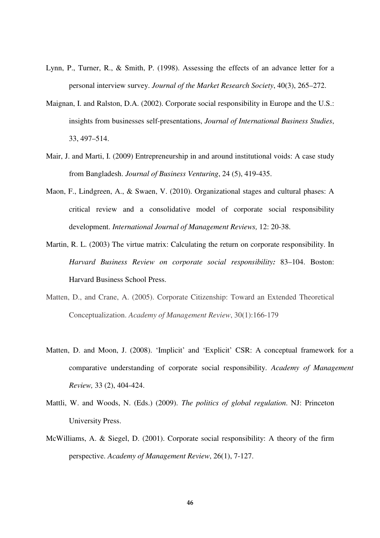- Lynn, P., Turner, R., & Smith, P. (1998). Assessing the effects of an advance letter for a personal interview survey. *Journal of the Market Research Society*, 40(3), 265–272.
- Maignan, I. and Ralston, D.A. (2002). Corporate social responsibility in Europe and the U.S.: insights from businesses self-presentations, *Journal of International Business Studies*, 33, 497–514.
- Mair, J. and Marti, I. (2009) Entrepreneurship in and around institutional voids: A case study from Bangladesh. *Journal of Business Venturing*, 24 (5), 419-435.
- Maon, F., Lindgreen, A., & Swaen, V. (2010). Organizational stages and cultural phases: A critical review and a consolidative model of corporate social responsibility development. *International Journal of Management Reviews,* 12: 20-38.
- Martin, R. L. (2003) The virtue matrix: Calculating the return on corporate responsibility. In *Harvard Business Review on corporate social responsibility:* 83–104. Boston: Harvard Business School Press.
- Matten, D., and Crane, A. (2005). Corporate Citizenship: Toward an Extended Theoretical Conceptualization. *Academy of Management Review*, 30(1):166-179
- Matten, D. and Moon, J. (2008). 'Implicit' and 'Explicit' CSR: A conceptual framework for a comparative understanding of corporate social responsibility. *Academy of Management Review,* 33 (2), 404-424.
- Mattli, W. and Woods, N. (Eds.) (2009). *The politics of global regulation*. NJ: Princeton University Press.
- McWilliams, A. & Siegel, D. (2001). Corporate social responsibility: A theory of the firm perspective. *Academy of Management Review*, 26(1), 7-127.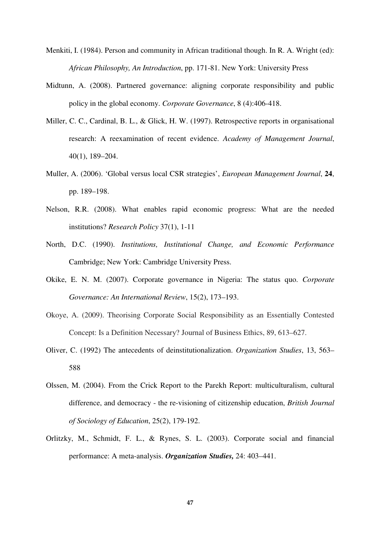- Menkiti, I. (1984). Person and community in African traditional though. In R. A. Wright (ed): *African Philosophy, An Introduction*, pp. 171-81. New York: University Press
- Midtunn, A. (2008). Partnered governance: aligning corporate responsibility and public policy in the global economy. *Corporate Governance*, 8 (4):406-418.
- Miller, C. C., Cardinal, B. L., & Glick, H. W. (1997). Retrospective reports in organisational research: A reexamination of recent evidence. *Academy of Management Journal*, 40(1), 189–204.
- Muller, A. (2006). 'Global versus local CSR strategies', *European Management Journal*, **24**, pp. 189–198.
- Nelson, R.R. (2008). What enables rapid economic progress: What are the needed institutions? *Research Policy* 37(1), 1-11
- North, D.C. (1990). *Institutions, Institutional Change, and Economic Performance* Cambridge; New York: Cambridge University Press.
- Okike, E. N. M. (2007). Corporate governance in Nigeria: The status quo. *Corporate Governance: An International Review*, 15(2), 173–193.
- Okoye, A. (2009). Theorising Corporate Social Responsibility as an Essentially Contested Concept: Is a Definition Necessary? Journal of Business Ethics, 89, 613–627.
- Oliver, C. (1992) The antecedents of deinstitutionalization. *Organization Studies*, 13, 563– 588
- Olssen, M. (2004). From the Crick Report to the Parekh Report: multiculturalism, cultural difference, and democracy - the re-visioning of citizenship education, *British Journal of Sociology of Education*, 25(2), 179-192.
- Orlitzky, M., Schmidt, F. L., & Rynes, S. L. (2003). Corporate social and financial performance: A meta-analysis. *Organization Studies,* 24: 403–441.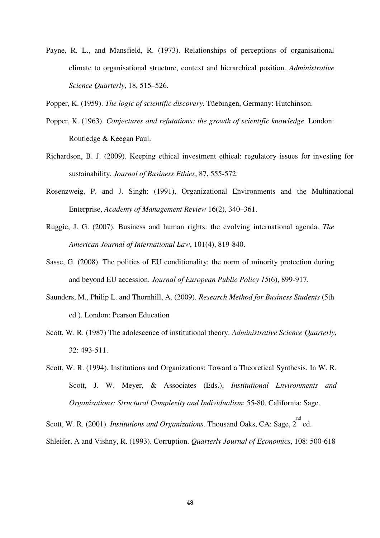Payne, R. L., and Mansfield, R. (1973). Relationships of perceptions of organisational climate to organisational structure, context and hierarchical position. *Administrative Science Quarterly*, 18, 515–526.

Popper, K. (1959). *The logic of scientific discovery*. Tüebingen, Germany: Hutchinson.

- Popper, K. (1963). *Conjectures and refutations: the growth of scientific knowledge*. London: Routledge & Keegan Paul.
- Richardson, B. J. (2009). Keeping ethical investment ethical: regulatory issues for investing for sustainability. *Journal of Business Ethics*, 87, 555-572.
- Rosenzweig, P. and J. Singh: (1991), Organizational Environments and the Multinational Enterprise, *Academy of Management Review* 16(2), 340–361.
- Ruggie, J. G. (2007). Business and human rights: the evolving international agenda. *The American Journal of International Law*, 101(4), 819-840.
- Sasse, G. (2008). The politics of EU conditionality: the norm of minority protection during and beyond EU accession. *Journal of European Public Policy 15*(6), 899-917.
- Saunders, M., Philip L. and Thornhill, A. (2009). *Research Method for Business Students* (5th ed.). London: Pearson Education
- Scott, W. R. (1987) The adolescence of institutional theory. *Administrative Science Quarterly*, 32: 493-511.
- Scott, W. R. (1994). Institutions and Organizations: Toward a Theoretical Synthesis. In W. R. Scott, J. W. Meyer, & Associates (Eds.), *Institutional Environments and Organizations: Structural Complexity and Individualism*: 55-80. California: Sage.

Scott, W. R. (2001). *Institutions and Organizations*. Thousand Oaks, CA: Sage, 2<sup>nd</sup> ed.

Shleifer, A and Vishny, R. (1993). Corruption. *Quarterly Journal of Economics*, 108: 500-618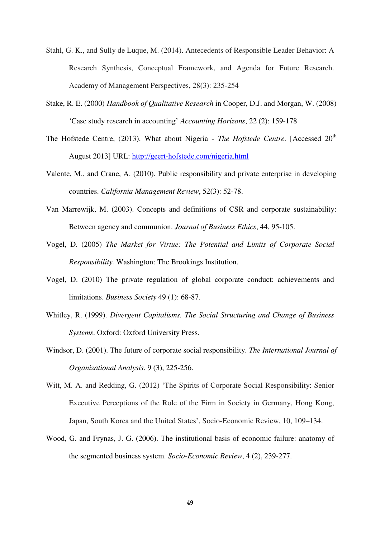- Stahl, G. K., and Sully de Luque, M. (2014). Antecedents of Responsible Leader Behavior: A Research Synthesis, Conceptual Framework, and Agenda for Future Research. Academy of Management Perspectives, 28(3): 235-254
- Stake, R. E. (2000) *Handbook of Qualitative Research* in Cooper, D.J. and Morgan, W. (2008) 'Case study research in accounting' *Accounting Horizons*, 22 (2): 159-178
- The Hofstede Centre, (2013). What about Nigeria *The Hofstede Centre*. [Accessed 20<sup>th</sup> August 2013] URL: http://geert-hofstede.com/nigeria.html
- Valente, M., and Crane, A. (2010). Public responsibility and private enterprise in developing countries. *California Management Review*, 52(3): 52-78.
- Van Marrewijk, M. (2003). Concepts and definitions of CSR and corporate sustainability: Between agency and communion. *Journal of Business Ethics*, 44, 95-105.
- Vogel, D. (2005) *The Market for Virtue: The Potential and Limits of Corporate Social Responsibility.* Washington: The Brookings Institution.
- Vogel, D. (2010) The private regulation of global corporate conduct: achievements and limitations. *Business Society* 49 (1): 68-87.
- Whitley, R. (1999). *Divergent Capitalisms. The Social Structuring and Change of Business Systems*. Oxford: Oxford University Press.
- Windsor, D. (2001). The future of corporate social responsibility. *The International Journal of Organizational Analysis*, 9 (3), 225-256.
- Witt, M. A. and Redding, G. (2012) 'The Spirits of Corporate Social Responsibility: Senior Executive Perceptions of the Role of the Firm in Society in Germany, Hong Kong, Japan, South Korea and the United States', Socio-Economic Review, 10, 109–134.
- Wood, G. and Frynas, J. G. (2006). The institutional basis of economic failure: anatomy of the segmented business system. *Socio-Economic Review*, 4 (2), 239-277.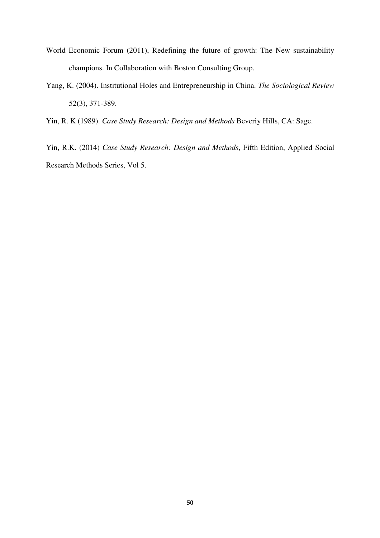- World Economic Forum (2011), Redefining the future of growth: The New sustainability champions. In Collaboration with Boston Consulting Group.
- Yang, K. (2004). Institutional Holes and Entrepreneurship in China. *The Sociological Review* 52(3), 371-389.
- Yin, R. K (1989). *Case Study Research: Design and Methods* Beveriy Hills, CA: Sage.

Yin, R.K. (2014) *Case Study Research: Design and Methods*, Fifth Edition, Applied Social Research Methods Series, Vol 5.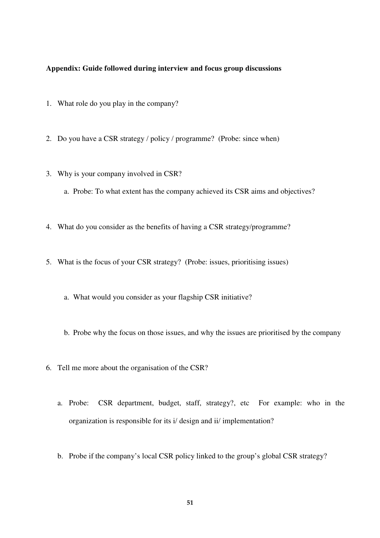## **Appendix: Guide followed during interview and focus group discussions**

- 1. What role do you play in the company?
- 2. Do you have a CSR strategy / policy / programme? (Probe: since when)
- 3. Why is your company involved in CSR?
	- a. Probe: To what extent has the company achieved its CSR aims and objectives?
- 4. What do you consider as the benefits of having a CSR strategy/programme?
- 5. What is the focus of your CSR strategy? (Probe: issues, prioritising issues)
	- a. What would you consider as your flagship CSR initiative?
	- b. Probe why the focus on those issues, and why the issues are prioritised by the company
- 6. Tell me more about the organisation of the CSR?
	- a. Probe: CSR department, budget, staff, strategy?, etc For example: who in the organization is responsible for its i/ design and ii/ implementation?
	- b. Probe if the company's local CSR policy linked to the group's global CSR strategy?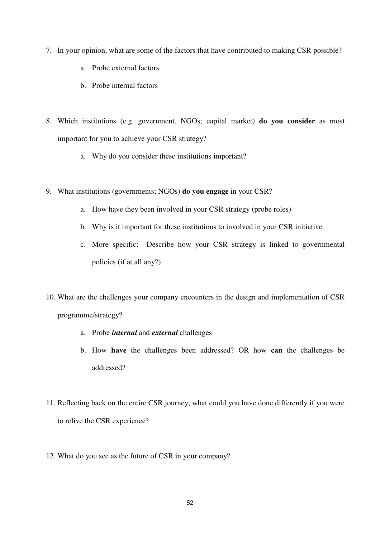- 7. In your opinion, what are some of the factors that have contributed to making CSR possible?
	- a. Probe external factors
	- b. Probe internal factors
- 8. Which institutions (e.g. government, NGOs; capital market) **do you consider** as most important for you to achieve your CSR strategy?
	- a. Why do you consider these institutions important?
- 9. What institutions (governments; NGOs) **do you engage** in your CSR?
	- a. How have they been involved in your CSR strategy (probe roles)
	- b. Why is it important for these institutions to involved in your CSR initiative
	- c. More specific: Describe how your CSR strategy is linked to governmental policies (if at all any?)
- 10. What are the challenges your company encounters in the design and implementation of CSR programme/strategy?
	- a. Probe *internal* and *external* challenges
	- b. How **have** the challenges been addressed? OR how **can** the challenges be addressed?
- 11. Reflecting back on the entire CSR journey, what could you have done differently if you were to relive the CSR experience?
- 12. What do you see as the future of CSR in your company?